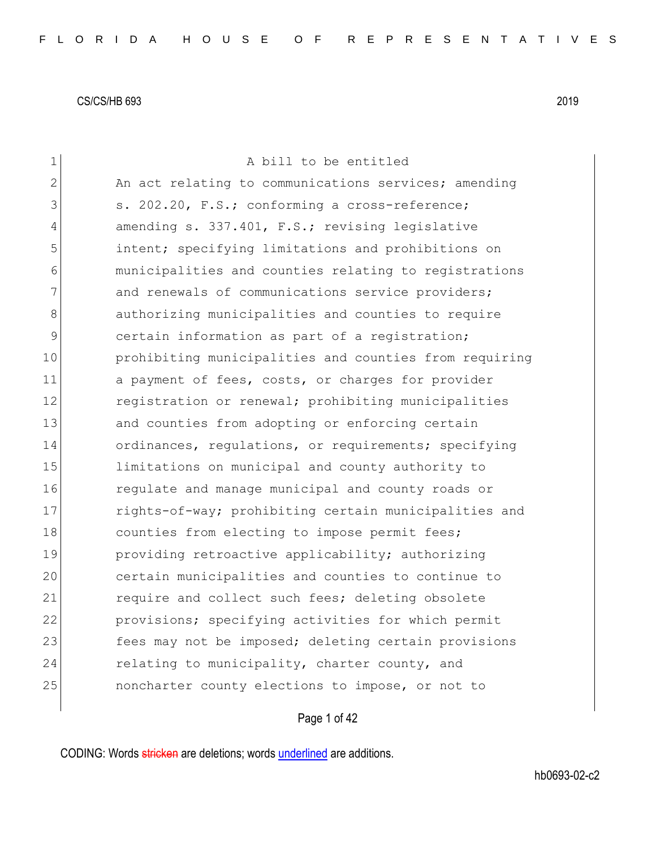| $\mathbf 1$ | A bill to be entitled                                  |
|-------------|--------------------------------------------------------|
| 2           | An act relating to communications services; amending   |
| 3           | s. 202.20, F.S.; conforming a cross-reference;         |
| 4           | amending s. 337.401, F.S.; revising legislative        |
| 5           | intent; specifying limitations and prohibitions on     |
| 6           | municipalities and counties relating to registrations  |
| 7           | and renewals of communications service providers;      |
| 8           | authorizing municipalities and counties to require     |
| 9           | certain information as part of a registration;         |
| 10          | prohibiting municipalities and counties from requiring |
| 11          | a payment of fees, costs, or charges for provider      |
| 12          | registration or renewal; prohibiting municipalities    |
| 13          | and counties from adopting or enforcing certain        |
| 14          | ordinances, regulations, or requirements; specifying   |
| 15          | limitations on municipal and county authority to       |
| 16          | regulate and manage municipal and county roads or      |
| 17          | rights-of-way; prohibiting certain municipalities and  |
| 18          | counties from electing to impose permit fees;          |
| 19          | providing retroactive applicability; authorizing       |
| 20          | certain municipalities and counties to continue to     |
| 21          | require and collect such fees; deleting obsolete       |
| 22          | provisions; specifying activities for which permit     |
| 23          | fees may not be imposed; deleting certain provisions   |
| 24          | relating to municipality, charter county, and          |
| 25          | noncharter county elections to impose, or not to       |
|             |                                                        |

# Page 1 of 42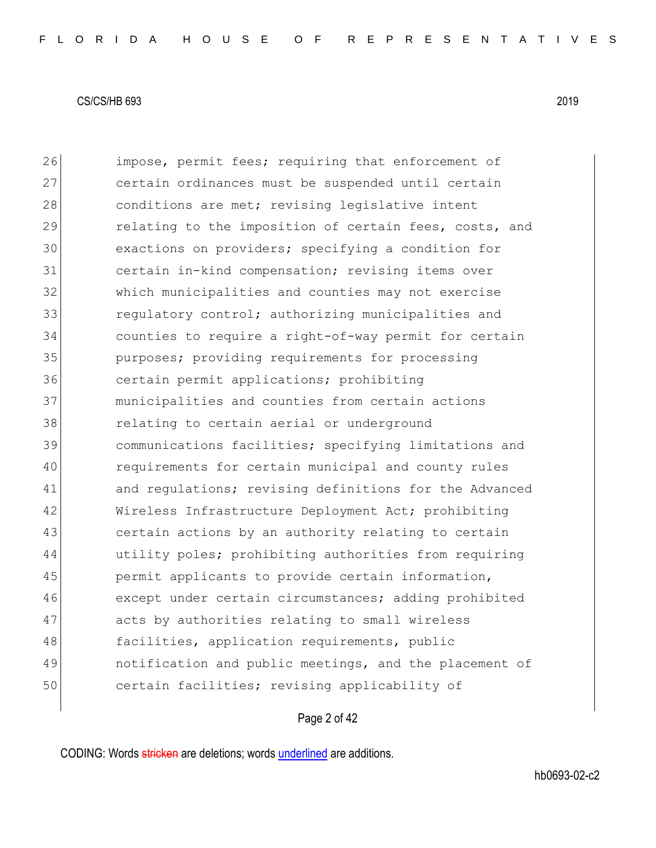26 impose, permit fees; requiring that enforcement of certain ordinances must be suspended until certain 28 conditions are met; revising legislative intent 29 relating to the imposition of certain fees, costs, and exactions on providers; specifying a condition for certain in-kind compensation; revising items over which municipalities and counties may not exercise **1988** regulatory control; authorizing municipalities and counties to require a right-of-way permit for certain purposes; providing requirements for processing certain permit applications; prohibiting municipalities and counties from certain actions **relating to certain aerial or underground**  communications facilities; specifying limitations and requirements for certain municipal and county rules 41 and regulations; revising definitions for the Advanced 42 Wireless Infrastructure Deployment Act; prohibiting certain actions by an authority relating to certain utility poles; prohibiting authorities from requiring permit applicants to provide certain information, 46 except under certain circumstances; adding prohibited 47 acts by authorities relating to small wireless 48 facilities, application requirements, public notification and public meetings, and the placement of certain facilities; revising applicability of

Page 2 of 42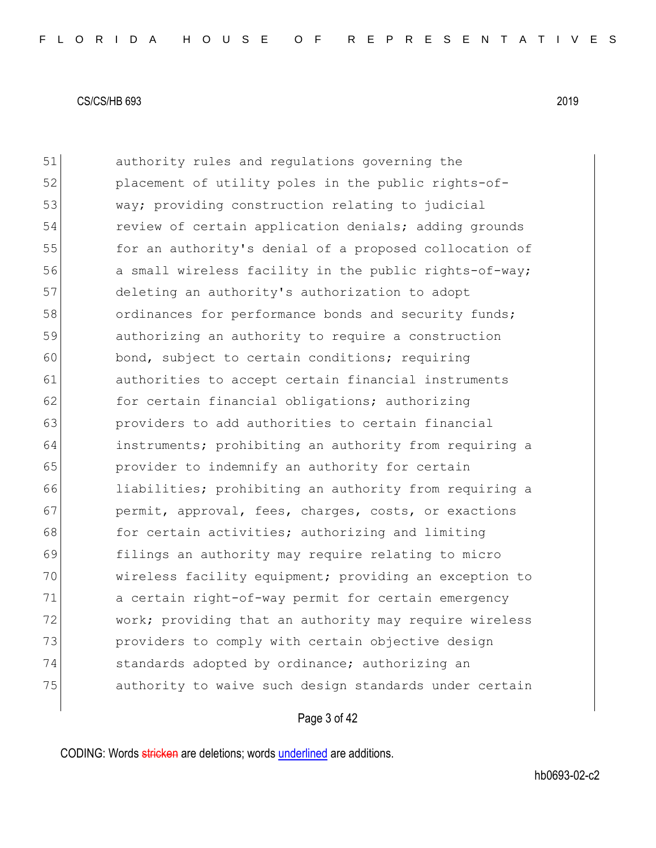51 authority rules and regulations governing the 52 placement of utility poles in the public rights-of-53 way; providing construction relating to judicial 54 review of certain application denials; adding grounds 55 for an authority's denial of a proposed collocation of 56 a small wireless facility in the public rights-of-way; 57 deleting an authority's authorization to adopt 58 ordinances for performance bonds and security funds; 59 authorizing an authority to require a construction 60 bond, subject to certain conditions; requiring 61 authorities to accept certain financial instruments 62 for certain financial obligations; authorizing 63 **providers to add authorities to certain financial** 64 instruments; prohibiting an authority from requiring a 65 provider to indemnify an authority for certain 66 liabilities; prohibiting an authority from requiring a 67 permit, approval, fees, charges, costs, or exactions 68 for certain activities; authorizing and limiting 69 filings an authority may require relating to micro 70 wireless facility equipment; providing an exception to 71 a certain right-of-way permit for certain emergency 72 work; providing that an authority may require wireless 73 **providers to comply with certain objective design** 74 standards adopted by ordinance; authorizing an 75 authority to waive such design standards under certain

## Page 3 of 42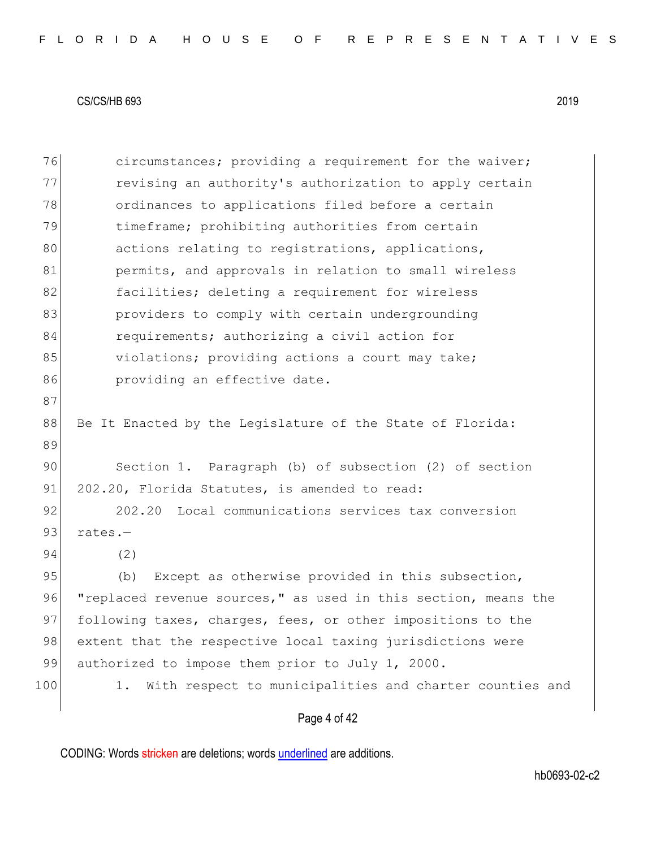76 circumstances; providing a requirement for the waiver; 77 revising an authority's authorization to apply certain 78 ordinances to applications filed before a certain 79 timeframe; prohibiting authorities from certain 80 actions relating to registrations, applications, 81 **permits, and approvals in relation to small wireless** 82 **facilities;** deleting a requirement for wireless 83 **providers to comply with certain undergrounding** 84 requirements; authorizing a civil action for 85 violations; providing actions a court may take; 86 **providing an effective date.** 87 88 Be It Enacted by the Legislature of the State of Florida: 89 90 Section 1. Paragraph (b) of subsection (2) of section 91 202.20, Florida Statutes, is amended to read: 92 202.20 Local communications services tax conversion 93 rates.-94 (2) 95 (b) Except as otherwise provided in this subsection, 96 "replaced revenue sources," as used in this section, means the 97 following taxes, charges, fees, or other impositions to the 98 extent that the respective local taxing jurisdictions were 99 authorized to impose them prior to July 1, 2000. 100 1. With respect to municipalities and charter counties and

Page 4 of 42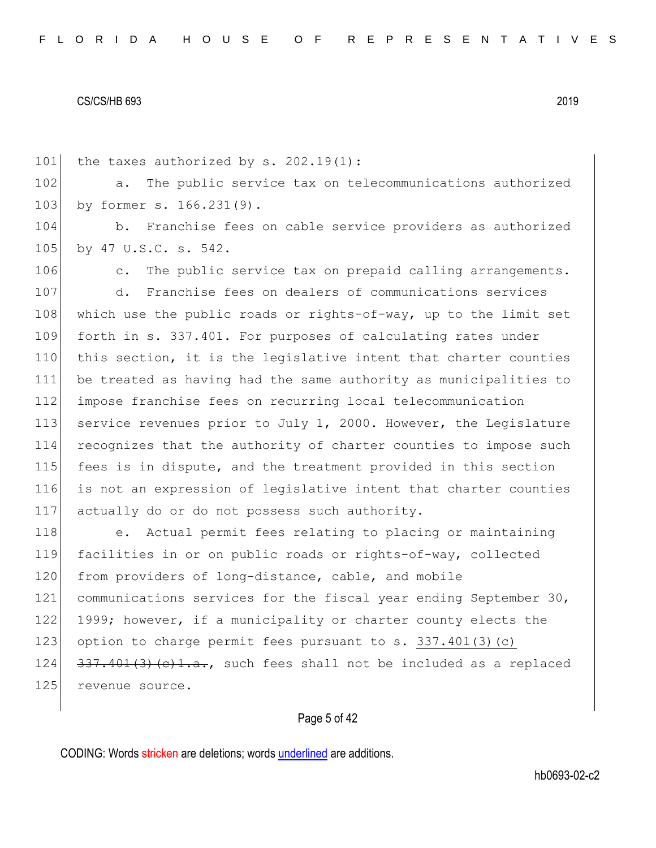| 101 | the taxes authorized by s. $202.19(1)$ :                             |
|-----|----------------------------------------------------------------------|
| 102 | The public service tax on telecommunications authorized<br>$a$ .     |
| 103 | by former s. 166.231(9).                                             |
| 104 | b. Franchise fees on cable service providers as authorized           |
| 105 | by 47 U.S.C. s. 542.                                                 |
| 106 | The public service tax on prepaid calling arrangements.<br>$\circ$ . |
| 107 | Franchise fees on dealers of communications services<br>d.           |
| 108 | which use the public roads or rights-of-way, up to the limit set     |
| 109 | forth in s. 337.401. For purposes of calculating rates under         |
| 110 | this section, it is the legislative intent that charter counties     |
| 111 | be treated as having had the same authority as municipalities to     |
| 112 | impose franchise fees on recurring local telecommunication           |
| 113 | service revenues prior to July 1, 2000. However, the Legislature     |
| 114 | recognizes that the authority of charter counties to impose such     |
| 115 | fees is in dispute, and the treatment provided in this section       |
| 116 | is not an expression of legislative intent that charter counties     |
| 117 | actually do or do not possess such authority.                        |
| 118 | e. Actual permit fees relating to placing or maintaining             |
| 119 | facilities in or on public roads or rights-of-way, collected         |
| 120 | from providers of long-distance, cable, and mobile                   |
| 121 | communications services for the fiscal year ending September 30,     |
| 122 | 1999; however, if a municipality or charter county elects the        |
| 123 | option to charge permit fees pursuant to s. $337.401(3)(c)$          |
| 124 | $337.401(3)(c)1.a.,$ such fees shall not be included as a replaced   |
| 125 | revenue source.                                                      |
|     |                                                                      |

# Page 5 of 42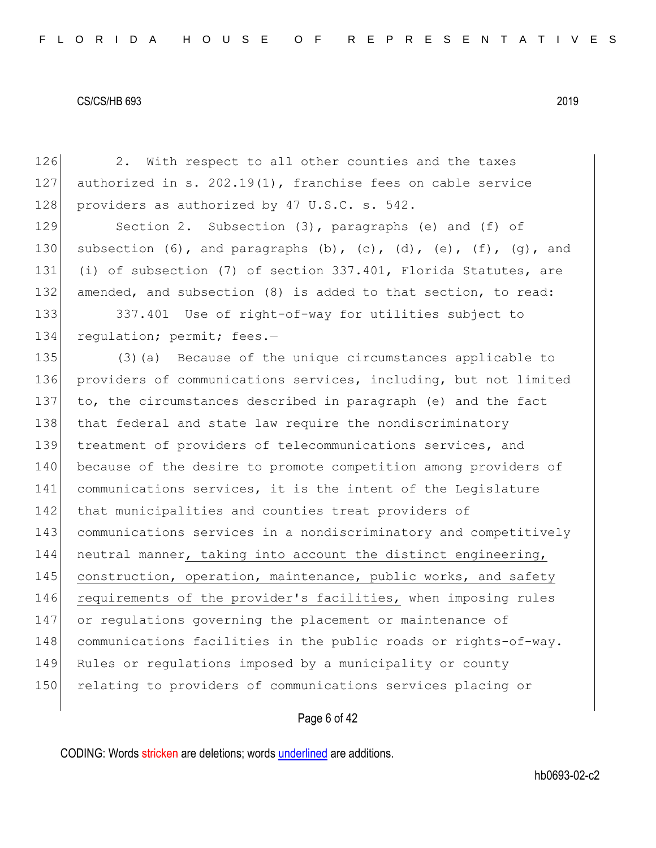126 2. With respect to all other counties and the taxes 127 authorized in s. 202.19(1), franchise fees on cable service 128 providers as authorized by 47 U.S.C. s. 542. 129 Section 2. Subsection (3), paragraphs (e) and (f) of 130 subsection (6), and paragraphs (b), (c), (d), (e), (f), (q), and 131 (i) of subsection (7) of section 337.401, Florida Statutes, are 132 amended, and subsection (8) is added to that section, to read: 133 337.401 Use of right-of-way for utilities subject to 134 regulation; permit; fees.-135 (3)(a) Because of the unique circumstances applicable to 136 providers of communications services, including, but not limited 137 to, the circumstances described in paragraph (e) and the fact 138 that federal and state law require the nondiscriminatory 139 treatment of providers of telecommunications services, and 140 because of the desire to promote competition among providers of 141 communications services, it is the intent of the Legislature 142 that municipalities and counties treat providers of 143 communications services in a nondiscriminatory and competitively 144 neutral manner, taking into account the distinct engineering, 145 construction, operation, maintenance, public works, and safety 146 requirements of the provider's facilities, when imposing rules 147 or regulations governing the placement or maintenance of 148 communications facilities in the public roads or rights-of-way. 149 Rules or regulations imposed by a municipality or county 150 relating to providers of communications services placing or

Page 6 of 42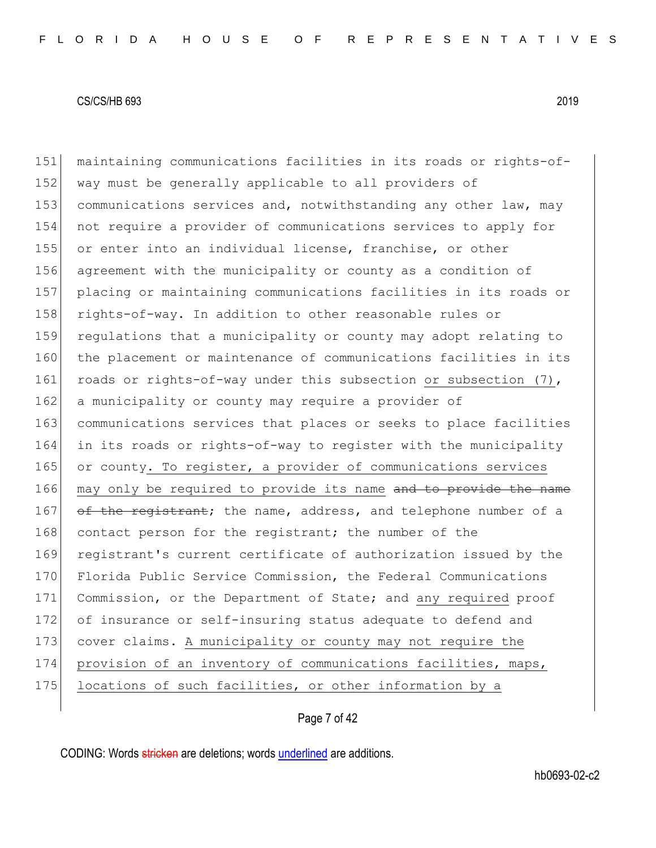151 maintaining communications facilities in its roads or rights-of-152 way must be generally applicable to all providers of 153 communications services and, notwithstanding any other law, may 154 not require a provider of communications services to apply for 155 or enter into an individual license, franchise, or other 156 agreement with the municipality or county as a condition of 157 placing or maintaining communications facilities in its roads or 158 rights-of-way. In addition to other reasonable rules or 159 regulations that a municipality or county may adopt relating to 160 the placement or maintenance of communications facilities in its 161 roads or rights-of-way under this subsection or subsection (7), 162 a municipality or county may require a provider of 163 communications services that places or seeks to place facilities 164 in its roads or rights-of-way to register with the municipality 165 or county. To register, a provider of communications services 166 may only be required to provide its name and to provide the name 167 of the registrant; the name, address, and telephone number of a 168 contact person for the registrant; the number of the 169 registrant's current certificate of authorization issued by the 170 Florida Public Service Commission, the Federal Communications 171 Commission, or the Department of State; and any required proof 172 of insurance or self-insuring status adequate to defend and 173 cover claims. A municipality or county may not require the 174 provision of an inventory of communications facilities, maps, 175 locations of such facilities, or other information by a

## Page 7 of 42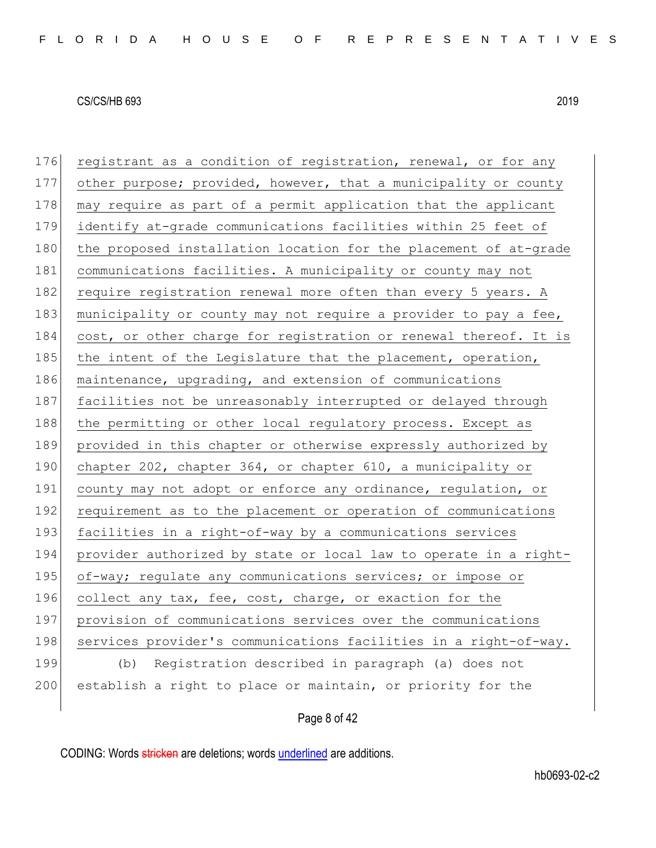| 176 | registrant as a condition of registration, renewal, or for any   |
|-----|------------------------------------------------------------------|
| 177 | other purpose; provided, however, that a municipality or county  |
| 178 | may require as part of a permit application that the applicant   |
| 179 | identify at-grade communications facilities within 25 feet of    |
| 180 | the proposed installation location for the placement of at-grade |
| 181 | communications facilities. A municipality or county may not      |
| 182 | require registration renewal more often than every 5 years. A    |
| 183 | municipality or county may not require a provider to pay a fee,  |
| 184 | cost, or other charge for registration or renewal thereof. It is |
| 185 | the intent of the Legislature that the placement, operation,     |
| 186 | maintenance, upgrading, and extension of communications          |
| 187 | facilities not be unreasonably interrupted or delayed through    |
| 188 | the permitting or other local regulatory process. Except as      |
| 189 | provided in this chapter or otherwise expressly authorized by    |
| 190 | chapter 202, chapter 364, or chapter 610, a municipality or      |
| 191 | county may not adopt or enforce any ordinance, regulation, or    |
| 192 | requirement as to the placement or operation of communications   |
| 193 | facilities in a right-of-way by a communications services        |
| 194 | provider authorized by state or local law to operate in a right- |
| 195 | of-way; regulate any communications services; or impose or       |
| 196 | collect any tax, fee, cost, charge, or exaction for the          |
| 197 | provision of communications services over the communications     |
| 198 | services provider's communications facilities in a right-of-way. |
| 199 | (b) Registration described in paragraph (a) does not             |
| 200 | establish a right to place or maintain, or priority for the      |
|     |                                                                  |

Page 8 of 42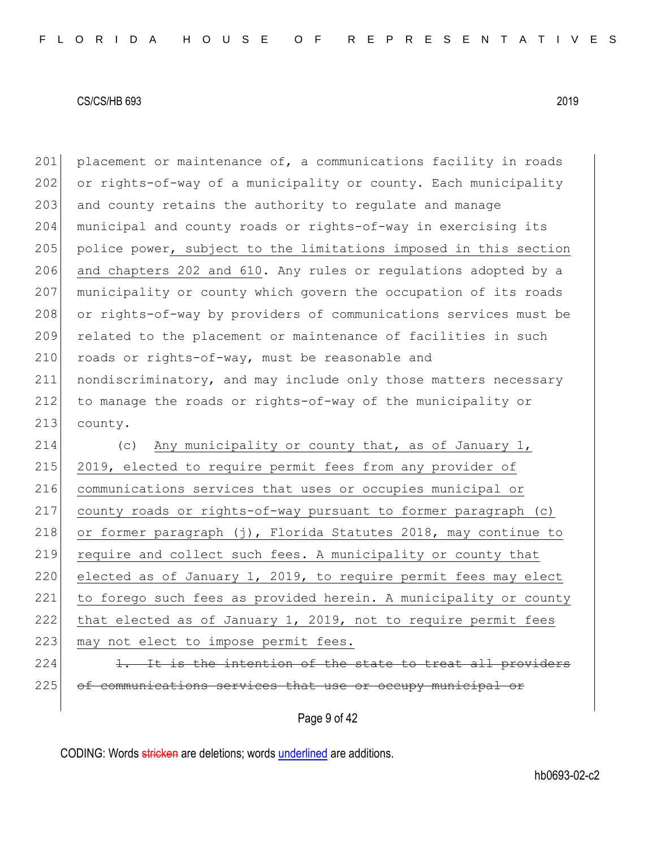201 placement or maintenance of, a communications facility in roads 202 or rights-of-way of a municipality or county. Each municipality 203 and county retains the authority to regulate and manage 204 municipal and county roads or rights-of-way in exercising its 205 police power, subject to the limitations imposed in this section 206 and chapters 202 and 610. Any rules or regulations adopted by a 207 municipality or county which govern the occupation of its roads 208 or rights-of-way by providers of communications services must be 209 related to the placement or maintenance of facilities in such 210 roads or rights-of-way, must be reasonable and 211 nondiscriminatory, and may include only those matters necessary 212 to manage the roads or rights-of-way of the municipality or 213 county.

214 (c) Any municipality or county that, as of January 1, 215 2019, elected to require permit fees from any provider of 216 communications services that uses or occupies municipal or 217 county roads or rights-of-way pursuant to former paragraph (c) 218 or former paragraph  $(j)$ , Florida Statutes 2018, may continue to 219 require and collect such fees. A municipality or county that 220 elected as of January 1, 2019, to require permit fees may elect 221 to forego such fees as provided herein. A municipality or county 222 that elected as of January 1, 2019, not to require permit fees 223 may not elect to impose permit fees. 224 1. It is the intention of the state to treat all providers 225 of communications services that use or occupy municipal or

Page 9 of 42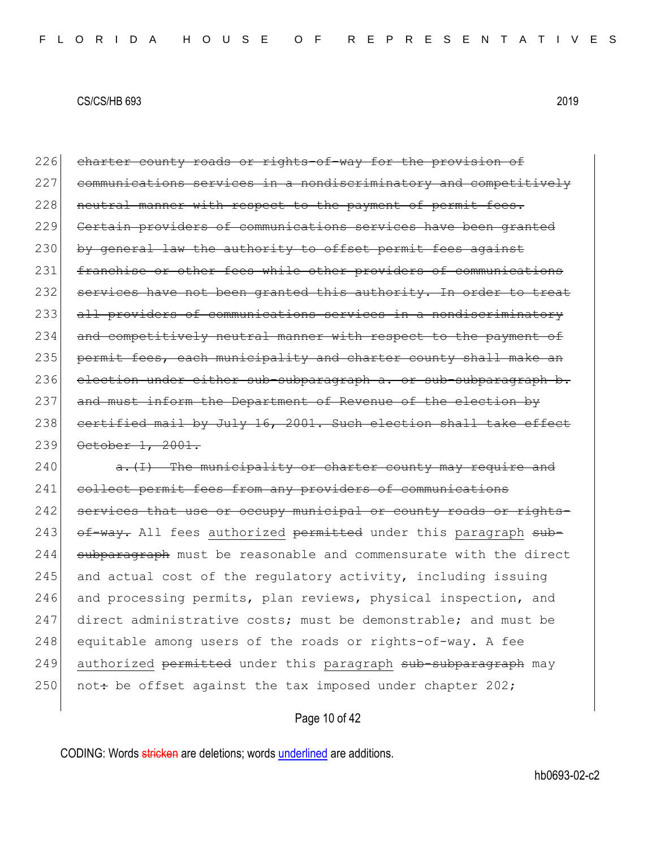226 charter county roads or rights-of-way for the provision of 227 communications services in a nondiscriminatory and competitively 228 neutral manner with respect to the payment of permit fees. 229 Certain providers of communications services have been granted 230 by general law the authority to offset permit fees against 231 franchise or other fees while other providers of communications 232 services have not been granted this authority. In order to treat 233 all providers of communications services in a nondiscriminatory 234 and competitively neutral manner with respect to the payment of 235 permit fees, each municipality and charter county shall make an 236 election under either sub-subparagraph a. or sub-subparagraph b. 237 and must inform the Department of Revenue of the election by 238 certified mail by July 16, 2001. Such election shall take effect 239 October 1, 2001.

 $240$  a. (I) The municipality or charter county may require and 241 collect permit fees from any providers of communications 242 services that use or occupy municipal or county roads or rights-243 of way. All fees authorized permitted under this paragraph sub-244 subparagraph must be reasonable and commensurate with the direct 245 and actual cost of the requiatory activity, including issuing 246 and processing permits, plan reviews, physical inspection, and 247 direct administrative costs; must be demonstrable; and must be 248 equitable among users of the roads or rights-of-way. A fee 249 authorized permitted under this paragraph sub-subparagraph may 250 not: be offset against the tax imposed under chapter 202;

## Page 10 of 42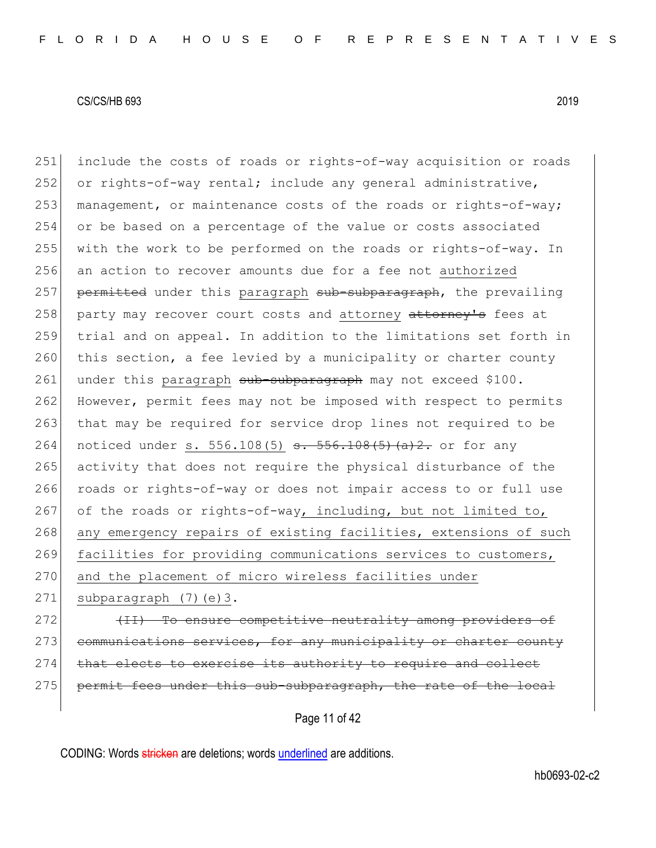251 include the costs of roads or rights-of-way acquisition or roads 252 or rights-of-way rental; include any general administrative, 253 management, or maintenance costs of the roads or rights-of-way; 254 or be based on a percentage of the value or costs associated 255 with the work to be performed on the roads or rights-of-way. In 256 an action to recover amounts due for a fee not authorized 257 permitted under this paragraph sub-subparagraph, the prevailing 258 party may recover court costs and attorney attorney's fees at 259 trial and on appeal. In addition to the limitations set forth in 260 this section, a fee levied by a municipality or charter county 261 under this paragraph sub-subparagraph may not exceed \$100. 262 However, permit fees may not be imposed with respect to permits 263 that may be required for service drop lines not required to be 264 noticed under s. 556.108(5)  $s. 556.108(5)$  (a)2. or for any 265 activity that does not require the physical disturbance of the 266 roads or rights-of-way or does not impair access to or full use 267 of the roads or rights-of-way, including, but not limited to, 268 any emergency repairs of existing facilities, extensions of such 269 facilities for providing communications services to customers, 270 and the placement of micro wireless facilities under 271 subparagraph  $(7)(e)$ 3.

272 **(II)** To ensure competitive neutrality among providers of 273 communications services, for any municipality or charter county 274 that elects to exercise its authority to require and collect 275 permit fees under this sub-subparagraph, the rate of the local

Page 11 of 42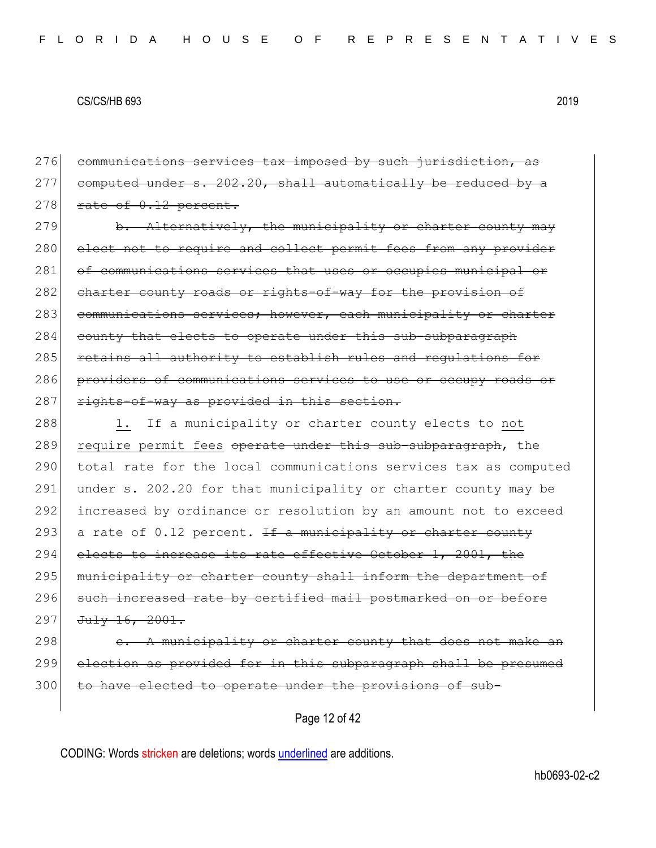Page 12 of 42 276 communications services tax imposed by such jurisdiction, as  $277$  computed under s. 202.20, shall automatically be reduced by a  $278$  rate of  $0.12$  percent. 279 b. Alternatively, the municipality or charter county may 280 elect not to require and collect permit fees from any provider 281 of communications services that uses or occupies municipal or 282 charter county roads or rights-of-way for the provision of 283 communications services; however, each municipality or charter 284 county that elects to operate under this sub-subparagraph 285 retains all authority to establish rules and regulations for 286 providers of communications services to use or occupy roads or 287 rights-of-way as provided in this section. 288 1. If a municipality or charter county elects to not 289 require permit fees operate under this sub-subparagraph, the 290 total rate for the local communications services tax as computed 291 under s. 202.20 for that municipality or charter county may be 292 increased by ordinance or resolution by an amount not to exceed 293 a rate of 0.12 percent. If a municipality or charter county 294 elects to increase its rate effective October 1, 2001, the 295 municipality or charter county shall inform the department of 296 such increased rate by certified mail postmarked on or before 297 July 16, 2001. 298  $\epsilon$ . A municipality or charter county that does not make an 299 election as provided for in this subparagraph shall be presumed 300 to have elected to operate under the provisions of sub-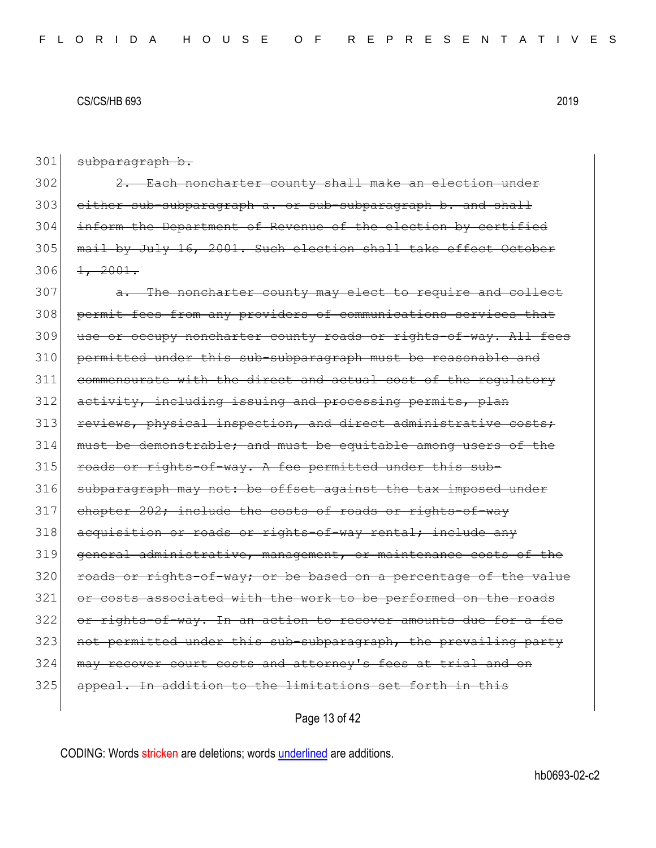301 subparagraph b.

  $2.$  Each noncharter county shall make an election under 303 either sub-subparagraph a. or sub-subparagraph b. and shall inform the Department of Revenue of the election by certified mail by July 16, 2001. Such election shall take effect October  $\frac{1}{2001}$ .

307 a. The noncharter county may elect to require and collect 308 permit fees from any providers of communications services that 309 use or occupy noncharter county roads or rights-of-way. All fees 310 permitted under this sub-subparagraph must be reasonable and 311 commensurate with the direct and actual cost of the regulatory 312 activity, including issuing and processing permits, plan 313 reviews, physical inspection, and direct administrative costs; 314 must be demonstrable; and must be equitable among users of the 315 roads or rights-of-way. A fee permitted under this sub-316 subparagraph may not: be offset against the tax imposed under 317 chapter 202; include the costs of roads or rights-of-way 318 acquisition or roads or rights-of-way rental; include any 319 general administrative, management, or maintenance costs of the 320 roads or rights-of-way; or be based on a percentage of the value 321 or costs associated with the work to be performed on the roads 322 or rights-of-way. In an action to recover amounts due for a fee 323 not permitted under this sub-subparagraph, the prevailing party 324 may recover court costs and attorney's fees at trial and on 325 appeal. In addition to the limitations set forth in this

Page 13 of 42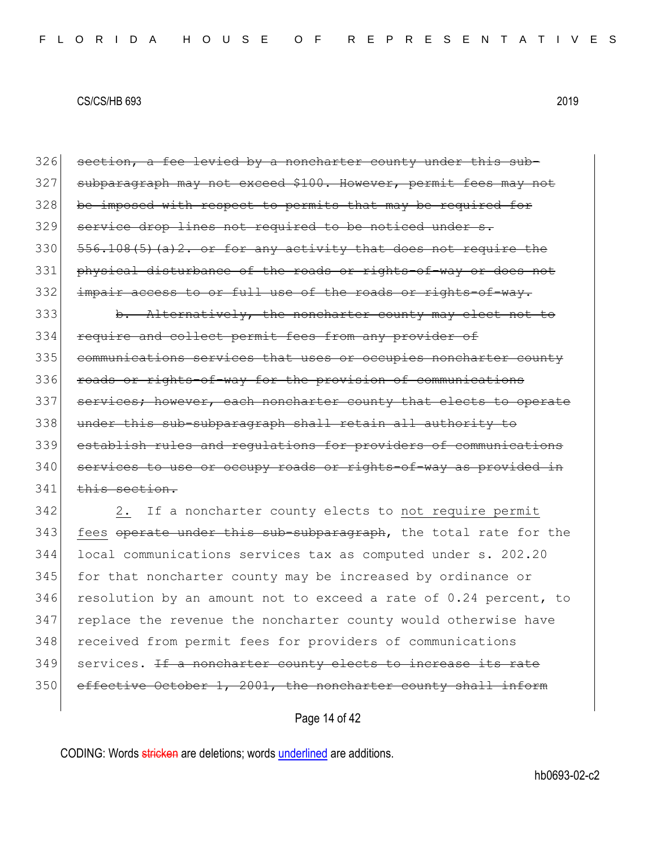| 326 | section, a fee levied by a noncharter county under this sub-     |
|-----|------------------------------------------------------------------|
| 327 | subparagraph may not exceed \$100. However, permit fees may not  |
| 328 | be imposed with respect to permits that may be required for      |
| 329 | service drop lines not required to be noticed under s.           |
| 330 | 556.108(5)(a)2. or for any activity that does not require the    |
| 331 | physical disturbance of the roads or rights-of-way or does not   |
| 332 | impair access to or full use of the roads or rights-of-way.      |
| 333 | b. Alternatively, the noncharter county may elect not to         |
| 334 | require and collect permit fees from any provider of             |
| 335 | communications services that uses or occupies noncharter county  |
| 336 | roads or rights-of-way for the provision of communications       |
| 337 | services; however, each noncharter county that elects to operate |
| 338 | under this sub-subparagraph shall retain all authority to        |
| 339 | establish rules and requlations for providers of communications  |
| 340 | services to use or occupy roads or rights-of-way as provided in  |
| 341 | this section.                                                    |
| 342 | 2.<br>If a noncharter county elects to not require permit        |
| 343 | fees operate under this sub-subparagraph, the total rate for the |
| 344 | local communications services tax as computed under s. 202.20    |
| 345 | for that noncharter county may be increased by ordinance or      |
| 346 | resolution by an amount not to exceed a rate of 0.24 percent, to |
| 347 | replace the revenue the noncharter county would otherwise have   |
| 348 | received from permit fees for providers of communications        |
| 349 | services. If a noncharter county elects to increase its rate     |
| 350 | effective October 1, 2001, the noncharter county shall inform    |
|     |                                                                  |

Page 14 of 42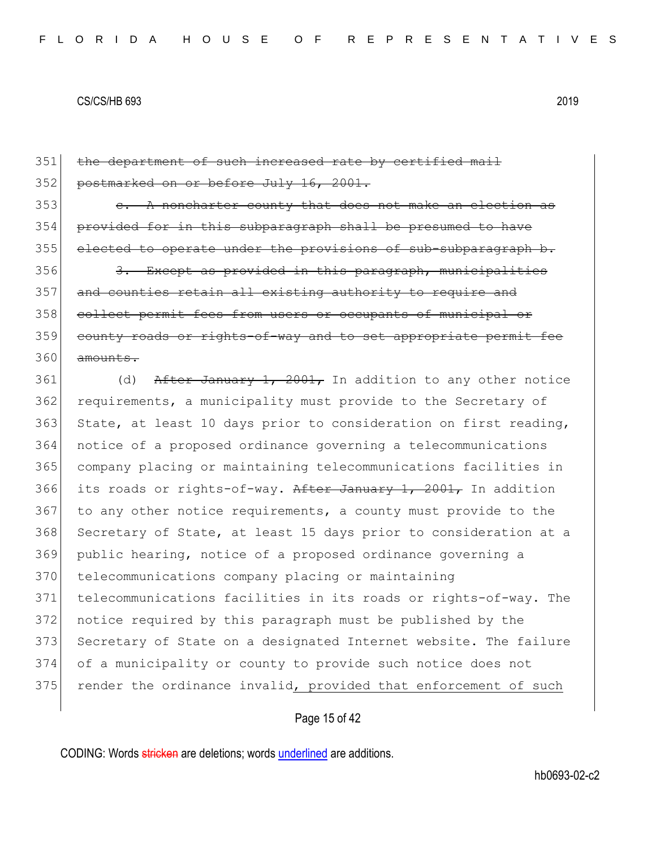| 351 | the department of such increased rate by certified mail          |
|-----|------------------------------------------------------------------|
| 352 | postmarked on or before July 16, 2001.                           |
| 353 | e. A noncharter county that does not make an election as         |
| 354 | provided for in this subparagraph shall be presumed to have      |
| 355 | elected to operate under the provisions of sub-subparagraph b.   |
| 356 | 3. Except as provided in this paragraph, municipalities          |
| 357 | and counties retain all existing authority to require and        |
| 358 | collect permit fees from users or occupants of municipal or      |
| 359 | county roads or rights-of-way and to set appropriate permit fee  |
| 360 | amounts.                                                         |
| 361 | After January 1, 2001, In addition to any other notice<br>(d)    |
| 362 | requirements, a municipality must provide to the Secretary of    |
| 363 | State, at least 10 days prior to consideration on first reading, |
| 364 | notice of a proposed ordinance governing a telecommunications    |
| 365 | company placing or maintaining telecommunications facilities in  |
| 366 | its roads or rights-of-way. After January 1, 2001, In addition   |
| 367 | to any other notice requirements, a county must provide to the   |
| 368 | Secretary of State, at least 15 days prior to consideration at a |
| 369 | public hearing, notice of a proposed ordinance governing a       |
| 370 | telecommunications company placing or maintaining                |
| 371 | telecommunications facilities in its roads or rights-of-way. The |
| 372 | notice required by this paragraph must be published by the       |
| 373 | Secretary of State on a designated Internet website. The failure |
| 374 | of a municipality or county to provide such notice does not      |
| 375 | render the ordinance invalid, provided that enforcement of such  |
|     |                                                                  |

# Page 15 of 42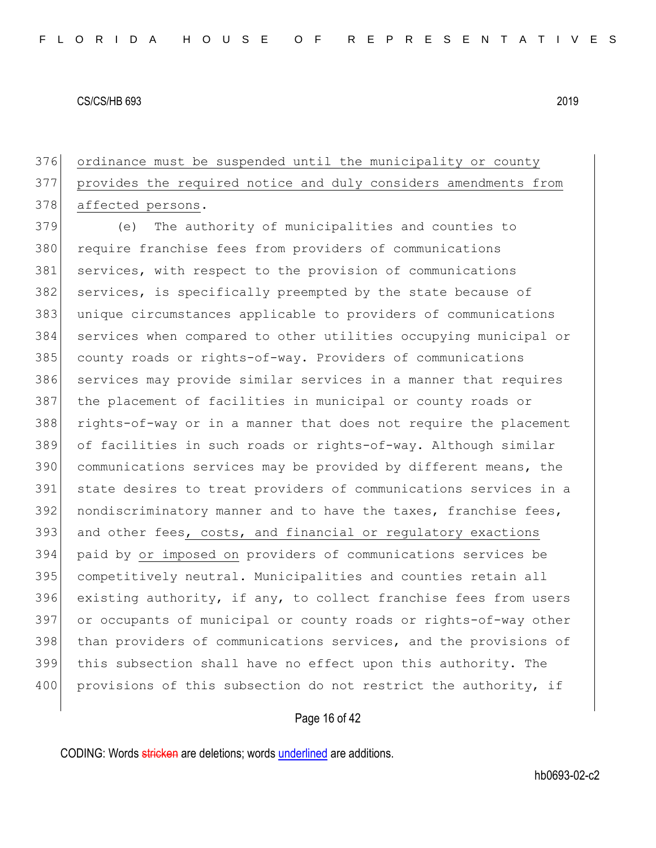ordinance must be suspended until the municipality or county provides the required notice and duly considers amendments from 378 affected persons.

 (e) The authority of municipalities and counties to require franchise fees from providers of communications services, with respect to the provision of communications 382 services, is specifically preempted by the state because of unique circumstances applicable to providers of communications services when compared to other utilities occupying municipal or county roads or rights-of-way. Providers of communications 386 services may provide similar services in a manner that requires the placement of facilities in municipal or county roads or rights-of-way or in a manner that does not require the placement of facilities in such roads or rights-of-way. Although similar communications services may be provided by different means, the state desires to treat providers of communications services in a nondiscriminatory manner and to have the taxes, franchise fees, and other fees, costs, and financial or regulatory exactions paid by or imposed on providers of communications services be competitively neutral. Municipalities and counties retain all existing authority, if any, to collect franchise fees from users or occupants of municipal or county roads or rights-of-way other 398 than providers of communications services, and the provisions of this subsection shall have no effect upon this authority. The 400 provisions of this subsection do not restrict the authority, if

## Page 16 of 42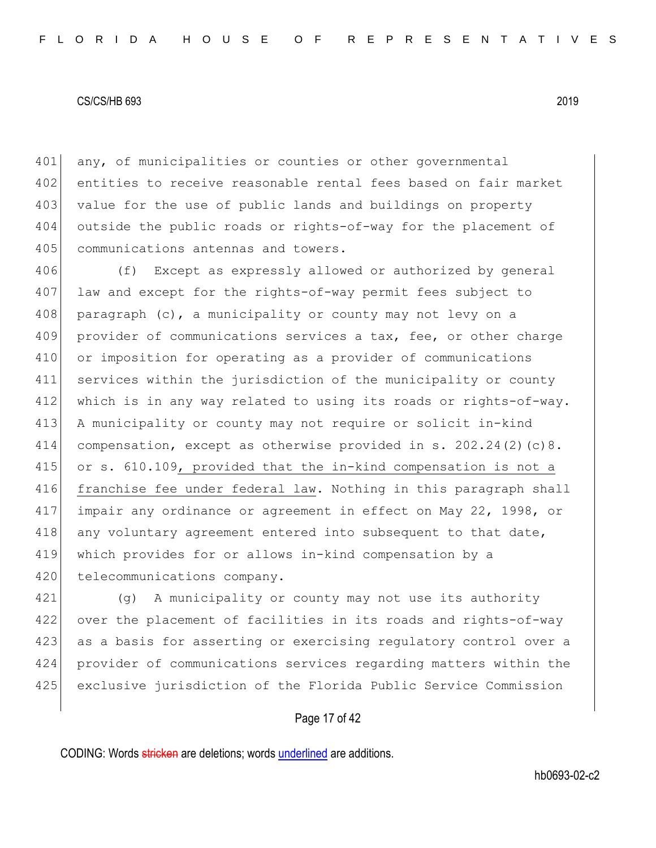401 any, of municipalities or counties or other governmental 402 entities to receive reasonable rental fees based on fair market 403 value for the use of public lands and buildings on property 404 outside the public roads or rights-of-way for the placement of 405 communications antennas and towers.

406 (f) Except as expressly allowed or authorized by general law and except for the rights-of-way permit fees subject to paragraph (c), a municipality or county may not levy on a 409 provider of communications services a tax, fee, or other charge or imposition for operating as a provider of communications services within the jurisdiction of the municipality or county which is in any way related to using its roads or rights-of-way. 413 A municipality or county may not require or solicit in-kind compensation, except as otherwise provided in s. 202.24(2)(c)8. or s. 610.109, provided that the in-kind compensation is not a franchise fee under federal law. Nothing in this paragraph shall impair any ordinance or agreement in effect on May 22, 1998, or 418 any voluntary agreement entered into subsequent to that date, which provides for or allows in-kind compensation by a 420 telecommunications company.

 (g) A municipality or county may not use its authority over the placement of facilities in its roads and rights-of-way 423 as a basis for asserting or exercising regulatory control over a provider of communications services regarding matters within the exclusive jurisdiction of the Florida Public Service Commission

## Page 17 of 42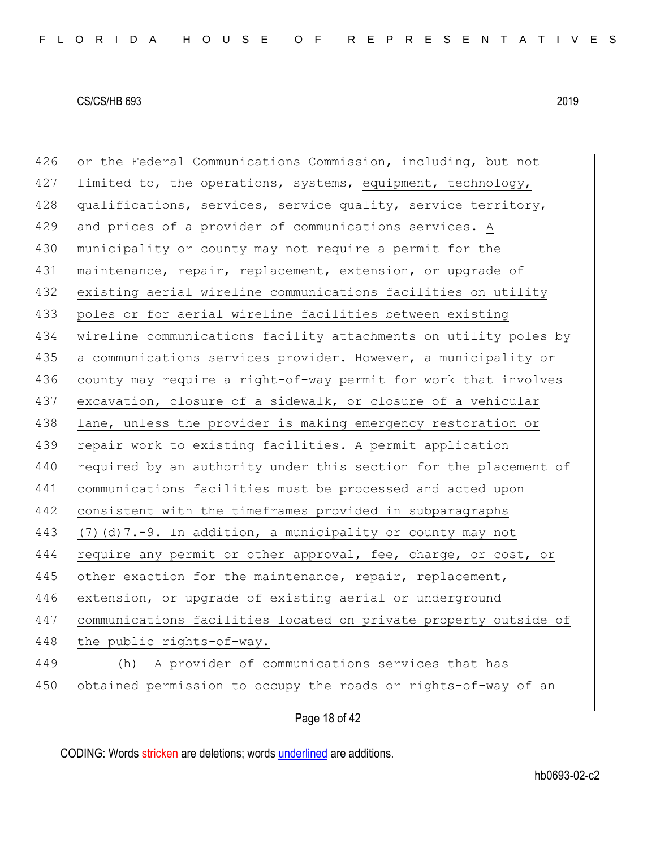426 or the Federal Communications Commission, including, but not  $427$  limited to, the operations, systems, equipment, technology, 428 qualifications, services, service quality, service territory, 429 and prices of a provider of communications services. A 430 municipality or county may not require a permit for the 431 maintenance, repair, replacement, extension, or upgrade of 432 existing aerial wireline communications facilities on utility 433 poles or for aerial wireline facilities between existing 434 wireline communications facility attachments on utility poles by 435 a communications services provider. However, a municipality or 436 county may require a right-of-way permit for work that involves 437 excavation, closure of a sidewalk, or closure of a vehicular 438 lane, unless the provider is making emergency restoration or 439 repair work to existing facilities. A permit application 440 required by an authority under this section for the placement of 441 communications facilities must be processed and acted upon 442 consistent with the timeframes provided in subparagraphs 443 (7)(d)7.-9. In addition, a municipality or county may not 444 require any permit or other approval, fee, charge, or cost, or 445 other exaction for the maintenance, repair, replacement, 446 extension, or upgrade of existing aerial or underground 447 communications facilities located on private property outside of 448 the public rights-of-way. 449 (h) A provider of communications services that has 450 obtained permission to occupy the roads or rights-of-way of an

Page 18 of 42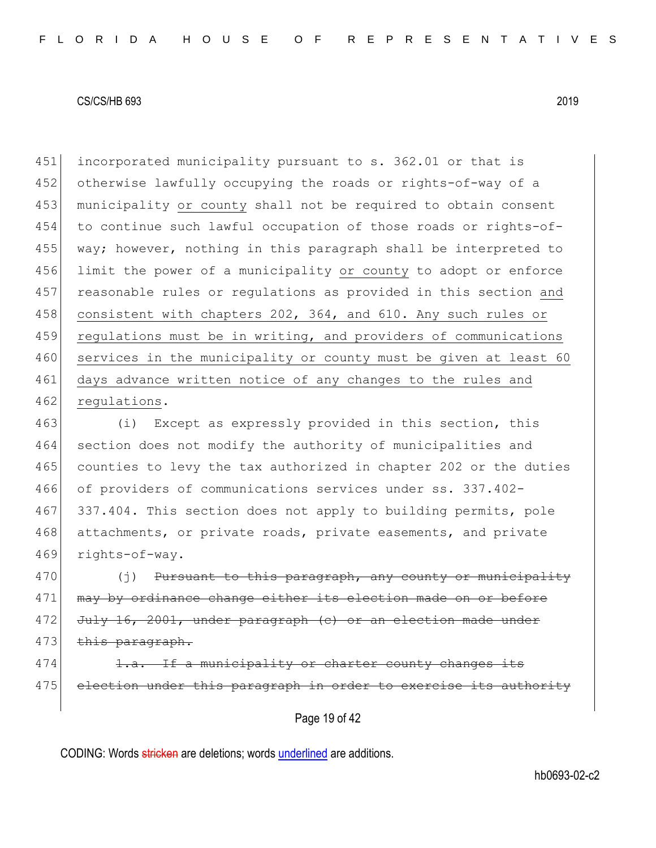451 incorporated municipality pursuant to s. 362.01 or that is 452 otherwise lawfully occupying the roads or rights-of-way of a 453 municipality or county shall not be required to obtain consent 454 to continue such lawful occupation of those roads or rights-of-455 way; however, nothing in this paragraph shall be interpreted to 456 limit the power of a municipality or county to adopt or enforce 457 reasonable rules or regulations as provided in this section and 458 consistent with chapters 202, 364, and 610. Any such rules or 459 regulations must be in writing, and providers of communications 460 services in the municipality or county must be given at least 60 461 days advance written notice of any changes to the rules and 462 regulations.

463 (i) Except as expressly provided in this section, this 464 section does not modify the authority of municipalities and 465 counties to levy the tax authorized in chapter 202 or the duties 466 of providers of communications services under ss. 337.402- 467 337.404. This section does not apply to building permits, pole 468 attachments, or private roads, private easements, and private 469 rights-of-way.

 $470$  (j) Pursuant to this paragraph, any county or municipality 471 may by ordinance change either its election made on or before 472 July 16, 2001, under paragraph (c) or an election made under 473 this paragraph.

474 1.a. If a municipality or charter county changes its 475 election under this paragraph in order to exercise its authority

Page 19 of 42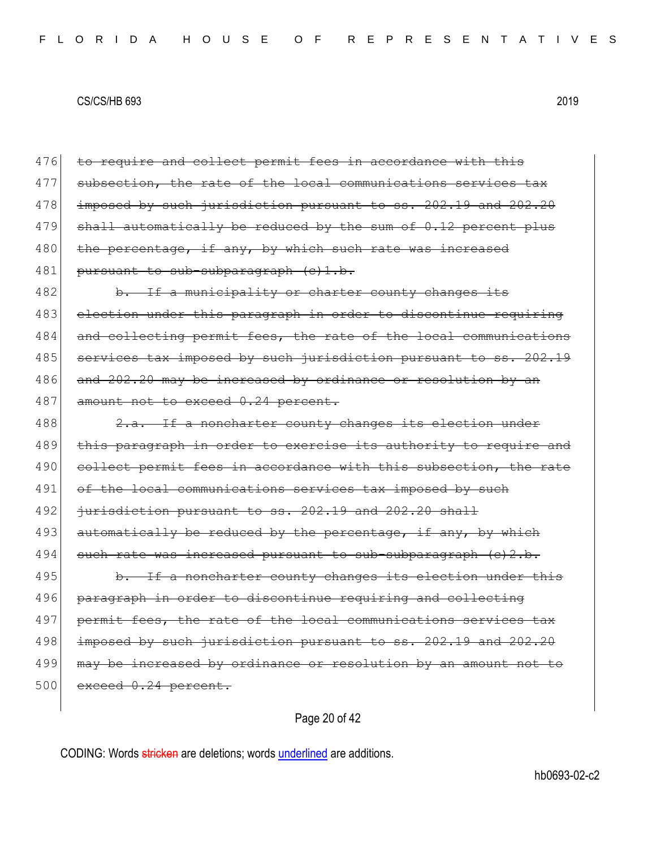476 to require and collect permit fees in accordance with this 477 subsection, the rate of the local communications services tax 478 | imposed by such jurisdiction pursuant to ss. 202.19 and 202.20  $479$  shall automatically be reduced by the sum of  $0.12$  percent plus 480 the percentage, if any, by which such rate was increased 481 pursuant to sub-subparagraph (c)1.b. 482 b. If a municipality or charter county changes its 483 election under this paragraph in order to discontinue requiring 484 and collecting permit fees, the rate of the local communications 485 services tax imposed by such jurisdiction pursuant to ss. 202.19 486 and 202.20 may be increased by ordinance or resolution by an 487 amount not to exceed 0.24 percent. 488  $\vert$  2.a. If a noncharter county changes its election under 489 this paragraph in order to exercise its authority to require and 490 collect permit fees in accordance with this subsection, the rate 491 of the local communications services tax imposed by such 492 <del>jurisdiction pursuant to ss. 202.19 and 202.20 shall</del> 493 automatically be reduced by the percentage, if any, by which  $494$  such rate was increased pursuant to sub-subparagraph (c)2.b. 495 b. If a noncharter county changes its election under this 496 paragraph in order to discontinue requiring and collecting 497 permit fees, the rate of the local communications services tax 498 imposed by such jurisdiction pursuant to ss. 202.19 and 202.20 499 may be increased by ordinance or resolution by an amount not to  $500$  exceed  $0.24$  percent.

Page 20 of 42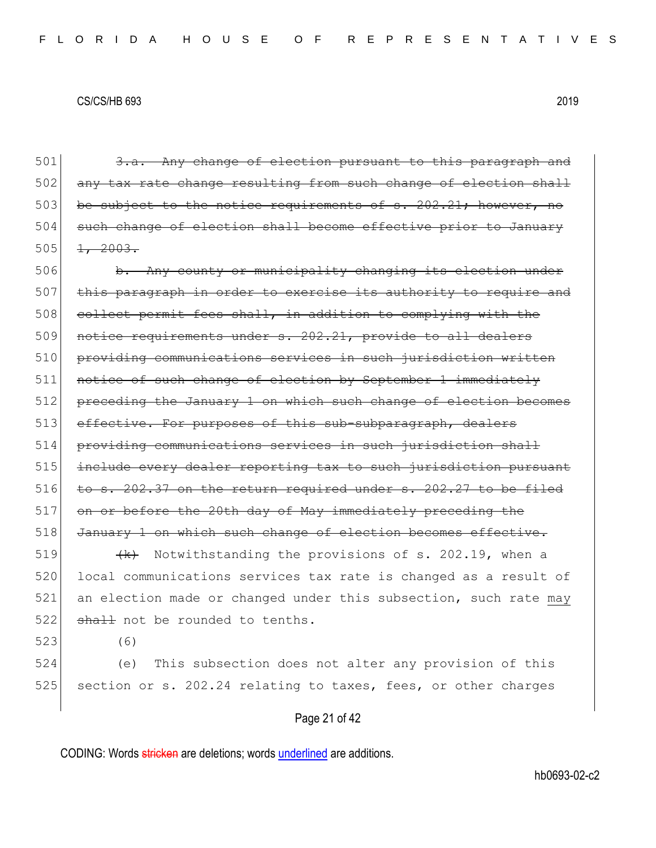501 3.a. Any change of election pursuant to this paragraph and 502 any tax rate change resulting from such change of election shall  $503$  be subject to the notice requirements of s. 202.21; however, 504 such change of election shall become effective prior to January  $505$   $\frac{1}{2003}$ .

506 b. Any county or municipality changing its election under 507 this paragraph in order to exercise its authority to require and 508 collect permit fees shall, in addition to complying with the 509 notice requirements under s. 202.21, provide to all dealers 510 providing communications services in such jurisdiction written 511 notice of such change of election by September 1 immediately 512 preceding the January 1 on which such change of election becomes 513 effective. For purposes of this sub-subparagraph, dealers 514 providing communications services in such jurisdiction shall 515 include every dealer reporting tax to such jurisdiction pursuant 516 to s.  $202.37$  on the return required under s.  $202.27$  to be filed 517 on or before the 20th day of May immediately preceding the 518 January 1 on which such change of election becomes effective. 519  $\left\{\kappa\right\}$  Notwithstanding the provisions of s. 202.19, when a

520 local communications services tax rate is changed as a result of 521 an election made or changed under this subsection, such rate may  $522$  shall not be rounded to tenths.

523 (6)

524 (e) This subsection does not alter any provision of this 525 section or s. 202.24 relating to taxes, fees, or other charges

#### Page 21 of 42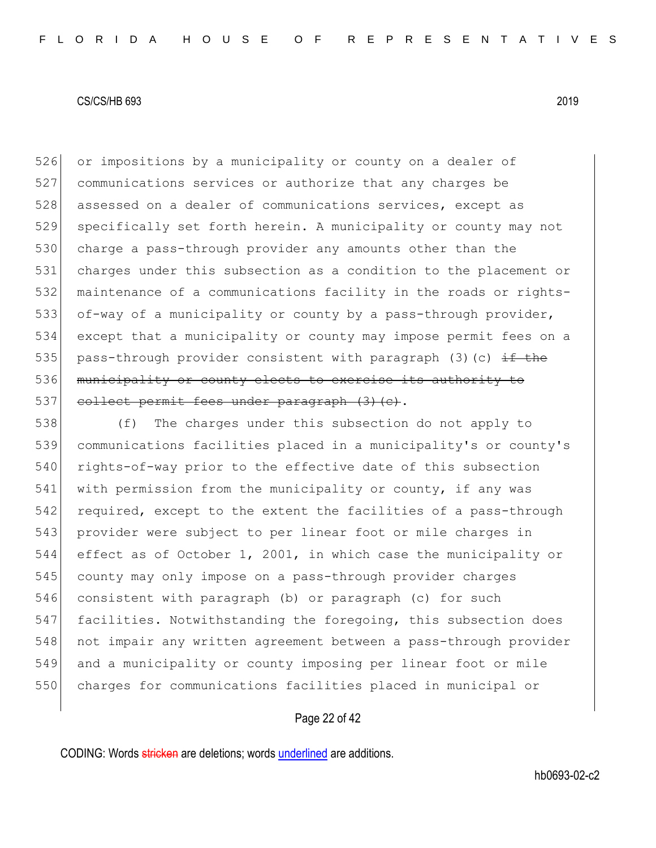526 or impositions by a municipality or county on a dealer of 527 communications services or authorize that any charges be 528 assessed on a dealer of communications services, except as 529 specifically set forth herein. A municipality or county may not 530 charge a pass-through provider any amounts other than the 531 charges under this subsection as a condition to the placement or 532 maintenance of a communications facility in the roads or rights-533 of-way of a municipality or county by a pass-through provider, 534 except that a municipality or county may impose permit fees on a 535 pass-through provider consistent with paragraph (3)(c)  $\pm f$  the 536 municipality or county elects to exercise its authority to 537 collect permit fees under paragraph (3) (c).

 (f) The charges under this subsection do not apply to communications facilities placed in a municipality's or county's 540 rights-of-way prior to the effective date of this subsection with permission from the municipality or county, if any was required, except to the extent the facilities of a pass-through provider were subject to per linear foot or mile charges in effect as of October 1, 2001, in which case the municipality or county may only impose on a pass-through provider charges consistent with paragraph (b) or paragraph (c) for such 547 facilities. Notwithstanding the foregoing, this subsection does not impair any written agreement between a pass-through provider and a municipality or county imposing per linear foot or mile 550 charges for communications facilities placed in municipal or

## Page 22 of 42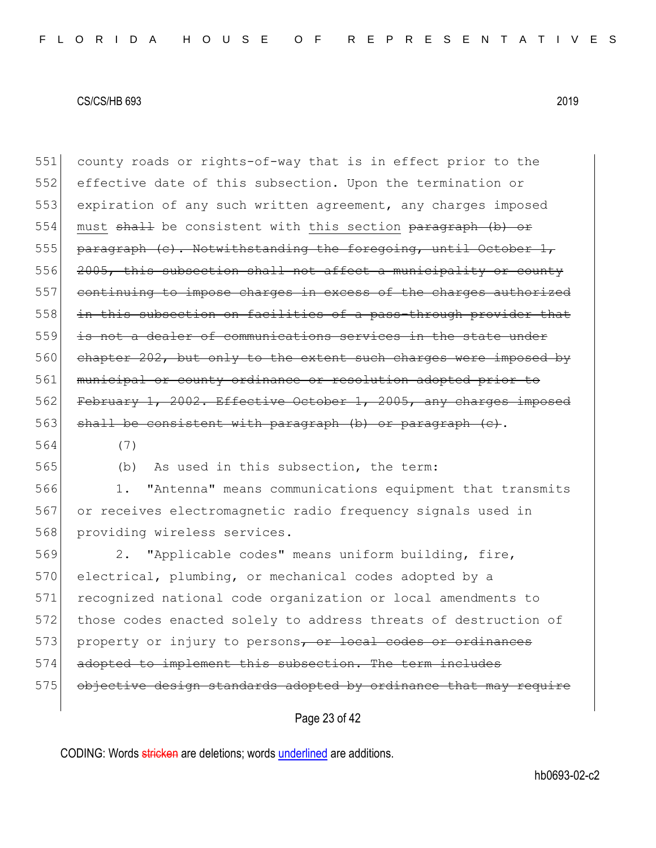551 county roads or rights-of-way that is in effect prior to the 552 effective date of this subsection. Upon the termination or 553 expiration of any such written agreement, any charges imposed 554 must shall be consistent with this section paragraph (b) or  $555$  paragraph (c). Notwithstanding the foregoing, until October 1, 556 2005, this subsection shall not affect a municipality or county 557 continuing to impose charges in excess of the charges authorized 558 in this subsection on facilities of a pass-through provider that 559 is not a dealer of communications services in the state under 560 chapter 202, but only to the extent such charges were imposed by 561 municipal or county ordinance or resolution adopted prior to 562 February 1, 2002. Effective October 1, 2005, any charges imposed 563 shall be consistent with paragraph  $(b)$  or paragraph  $(c)$ . 564 (7)

565 (b) As used in this subsection, the term:

566 1. "Antenna" means communications equipment that transmits 567 or receives electromagnetic radio frequency signals used in 568 providing wireless services.

569 2. "Applicable codes" means uniform building, fire, 570 electrical, plumbing, or mechanical codes adopted by a 571 recognized national code organization or local amendments to 572 those codes enacted solely to address threats of destruction of 573 property or injury to persons, or local codes or ordinances 574 adopted to implement this subsection. The term includes 575 objective design standards adopted by ordinance that may require

Page 23 of 42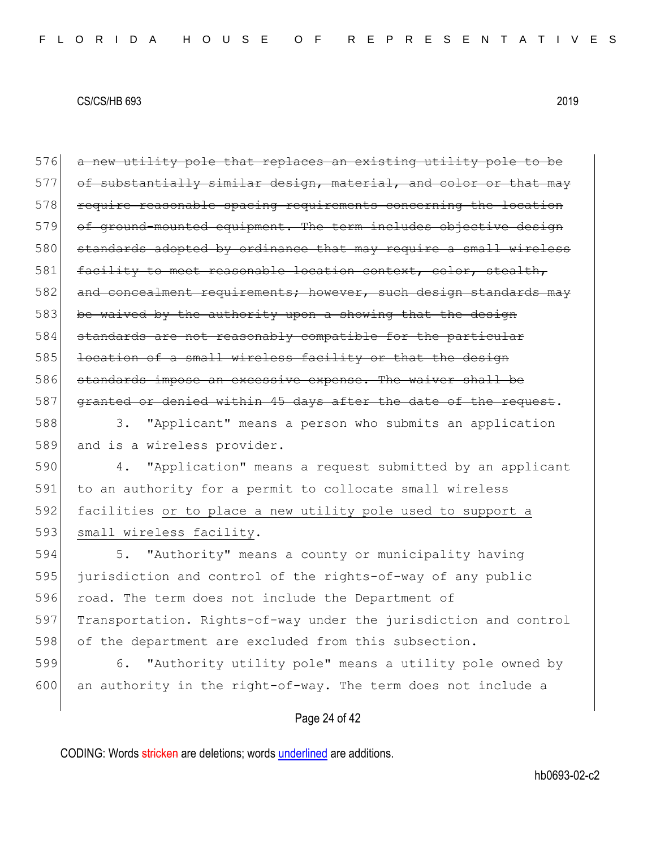576 a new utility pole that replaces an existing utility pole to be  $577$  of substantially similar design, material, and color or that may 578 require reasonable spacing requirements concerning the location 579 of ground-mounted equipment. The term includes objective design 580 standards adopted by ordinance that may require a small wireless 581 facility to meet reasonable location context, color, stealth, 582 and concealment requirements; however, such design standards may 583 be waived by the authority upon a showing that the design 584 standards are not reasonably compatible for the particular 585 location of a small wireless facility or that the design 586 standards impose an excessive expense. The waiver shall be 587 granted or denied within 45 days after the date of the request. 588 3. "Applicant" means a person who submits an application 589 and is a wireless provider. 590 4. "Application" means a request submitted by an applicant

591 to an authority for a permit to collocate small wireless 592 facilities or to place a new utility pole used to support a 593 small wireless facility.

594 5. "Authority" means a county or municipality having 595 jurisdiction and control of the rights-of-way of any public 596 road. The term does not include the Department of 597 Transportation. Rights-of-way under the jurisdiction and control 598 of the department are excluded from this subsection.

599 6. "Authority utility pole" means a utility pole owned by 600 an authority in the right-of-way. The term does not include a

## Page 24 of 42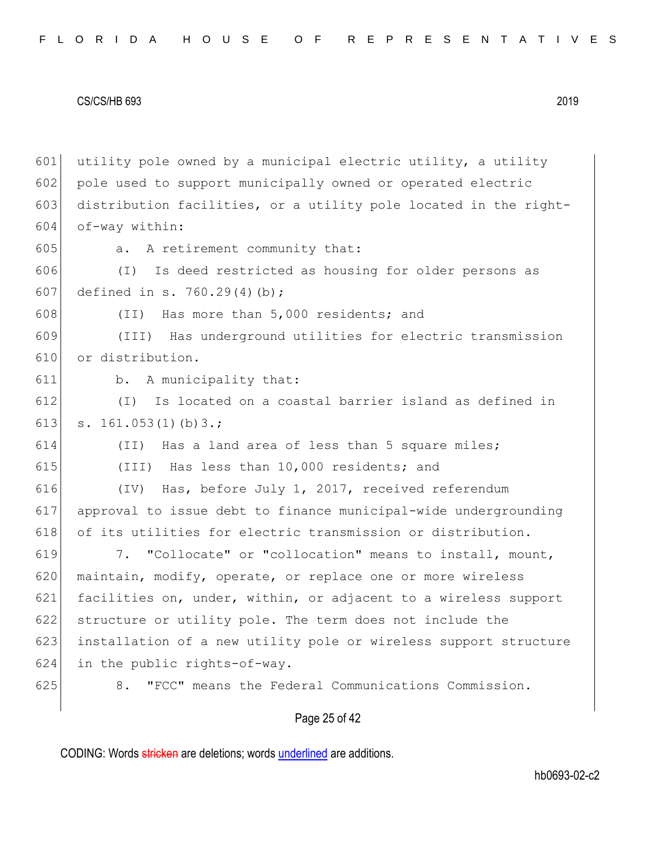|  |  |  |  |  |  |  |  | FLORIDA HOUSE OF REPRESENTATIVES |  |  |  |  |  |  |  |  |  |  |  |  |  |  |  |  |  |  |  |  |  |  |  |  |  |  |
|--|--|--|--|--|--|--|--|----------------------------------|--|--|--|--|--|--|--|--|--|--|--|--|--|--|--|--|--|--|--|--|--|--|--|--|--|--|
|--|--|--|--|--|--|--|--|----------------------------------|--|--|--|--|--|--|--|--|--|--|--|--|--|--|--|--|--|--|--|--|--|--|--|--|--|--|

 utility pole owned by a municipal electric utility, a utility 602 pole used to support municipally owned or operated electric 603 distribution facilities, or a utility pole located in the right- of-way within: 605 a. A retirement community that: (I) Is deed restricted as housing for older persons as defined in s. 760.29(4)(b); (II) Has more than 5,000 residents; and (III) Has underground utilities for electric transmission or distribution. b. A municipality that: (I) Is located on a coastal barrier island as defined in 613 s. 161.053(1)(b) 3.; (II) Has a land area of less than 5 square miles; (III) Has less than 10,000 residents; and (IV) Has, before July 1, 2017, received referendum approval to issue debt to finance municipal-wide undergrounding 618 of its utilities for electric transmission or distribution. 7. "Collocate" or "collocation" means to install, mount, 620 maintain, modify, operate, or replace one or more wireless facilities on, under, within, or adjacent to a wireless support 622 structure or utility pole. The term does not include the installation of a new utility pole or wireless support structure in the public rights-of-way. 8. "FCC" means the Federal Communications Commission.

## Page 25 of 42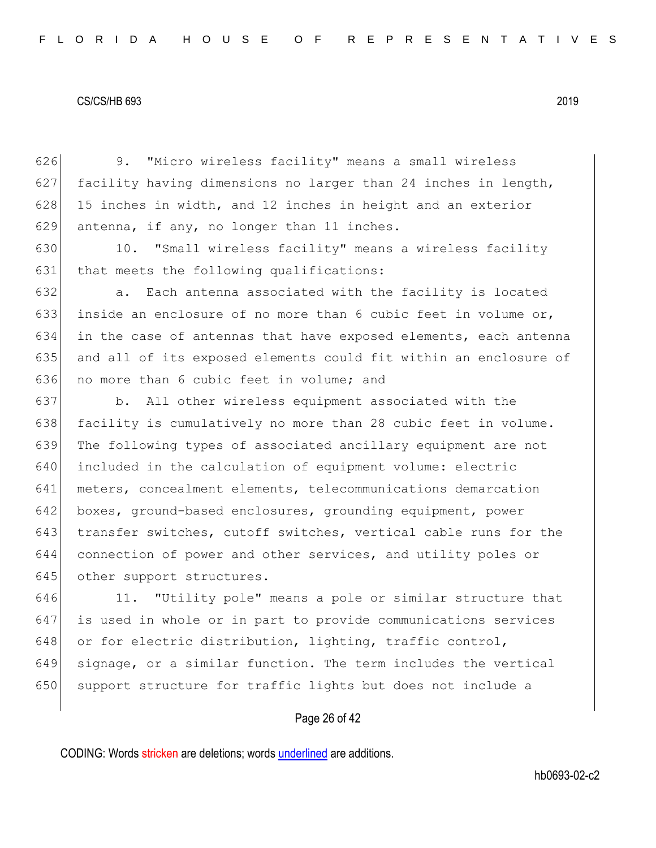626 9. "Micro wireless facility" means a small wireless 627 facility having dimensions no larger than 24 inches in length,  $628$  15 inches in width, and 12 inches in height and an exterior 629 antenna, if any, no longer than 11 inches.

630 10. "Small wireless facility" means a wireless facility 631 that meets the following qualifications:

632 a. Each antenna associated with the facility is located 633 inside an enclosure of no more than 6 cubic feet in volume or, 634 in the case of antennas that have exposed elements, each antenna 635 and all of its exposed elements could fit within an enclosure of 636 no more than 6 cubic feet in volume; and

 b. All other wireless equipment associated with the 638 facility is cumulatively no more than 28 cubic feet in volume. The following types of associated ancillary equipment are not included in the calculation of equipment volume: electric meters, concealment elements, telecommunications demarcation boxes, ground-based enclosures, grounding equipment, power transfer switches, cutoff switches, vertical cable runs for the connection of power and other services, and utility poles or 645 other support structures.

646 11. "Utility pole" means a pole or similar structure that 647 is used in whole or in part to provide communications services 648 or for electric distribution, lighting, traffic control, 649 signage, or a similar function. The term includes the vertical 650 support structure for traffic lights but does not include a

## Page 26 of 42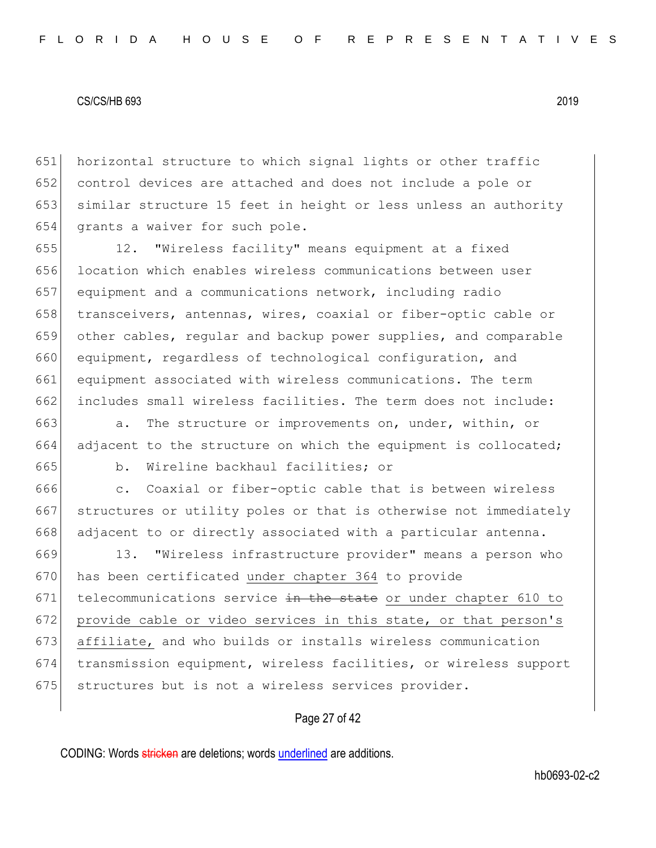horizontal structure to which signal lights or other traffic control devices are attached and does not include a pole or similar structure 15 feet in height or less unless an authority 654 grants a waiver for such pole.

 12. "Wireless facility" means equipment at a fixed location which enables wireless communications between user equipment and a communications network, including radio 658 transceivers, antennas, wires, coaxial or fiber-optic cable or other cables, regular and backup power supplies, and comparable equipment, regardless of technological configuration, and 661 equipment associated with wireless communications. The term 662 includes small wireless facilities. The term does not include:

663  $\vert$  a. The structure or improvements on, under, within, or 664 adjacent to the structure on which the equipment is collocated; 665 b. Wireline backhaul facilities; or

666 c. Coaxial or fiber-optic cable that is between wireless 667 structures or utility poles or that is otherwise not immediately 668 adjacent to or directly associated with a particular antenna.

669 13. "Wireless infrastructure provider" means a person who 670 has been certificated under chapter 364 to provide 671 telecommunications service  $\frac{1}{2}$  the state or under chapter 610 to 672 provide cable or video services in this state, or that person's 673 affiliate, and who builds or installs wireless communication 674 transmission equipment, wireless facilities, or wireless support 675 structures but is not a wireless services provider.

## Page 27 of 42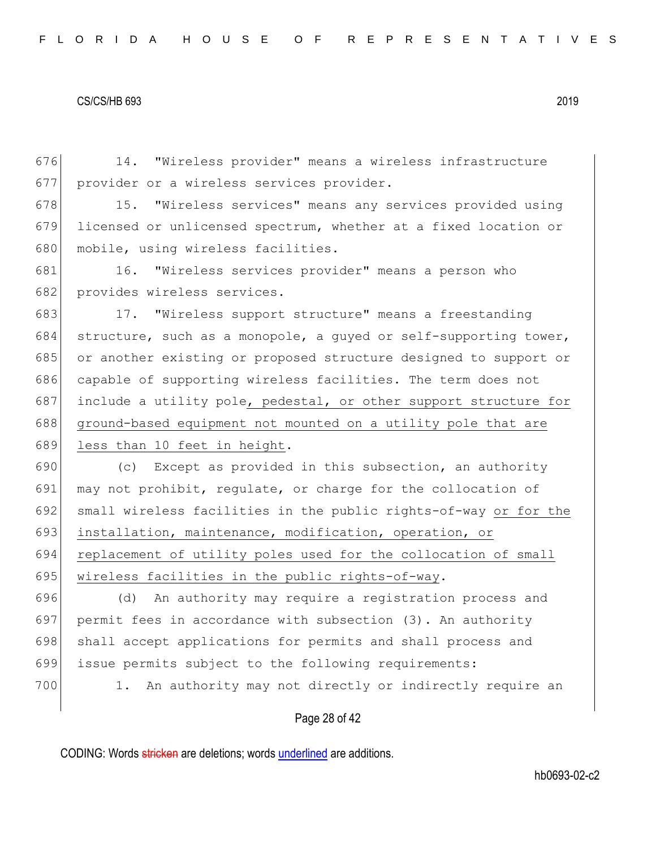676 14. "Wireless provider" means a wireless infrastructure 677 provider or a wireless services provider.

678 15. "Wireless services" means any services provided using 679 licensed or unlicensed spectrum, whether at a fixed location or 680 mobile, using wireless facilities.

681 16. "Wireless services provider" means a person who 682 provides wireless services.

683 17. "Wireless support structure" means a freestanding 684 structure, such as a monopole, a quyed or self-supporting tower, 685 or another existing or proposed structure designed to support or 686 capable of supporting wireless facilities. The term does not 687 include a utility pole, pedestal, or other support structure for 688 ground-based equipment not mounted on a utility pole that are 689 less than 10 feet in height.

690  $\vert$  (c) Except as provided in this subsection, an authority 691 may not prohibit, regulate, or charge for the collocation of 692 small wireless facilities in the public rights-of-way or for the 693 installation, maintenance, modification, operation, or 694 replacement of utility poles used for the collocation of small 695 wireless facilities in the public rights-of-way.

696 (d) An authority may require a registration process and 697 permit fees in accordance with subsection (3). An authority 698 shall accept applications for permits and shall process and 699 issue permits subject to the following requirements:

700 1. An authority may not directly or indirectly require an

## Page 28 of 42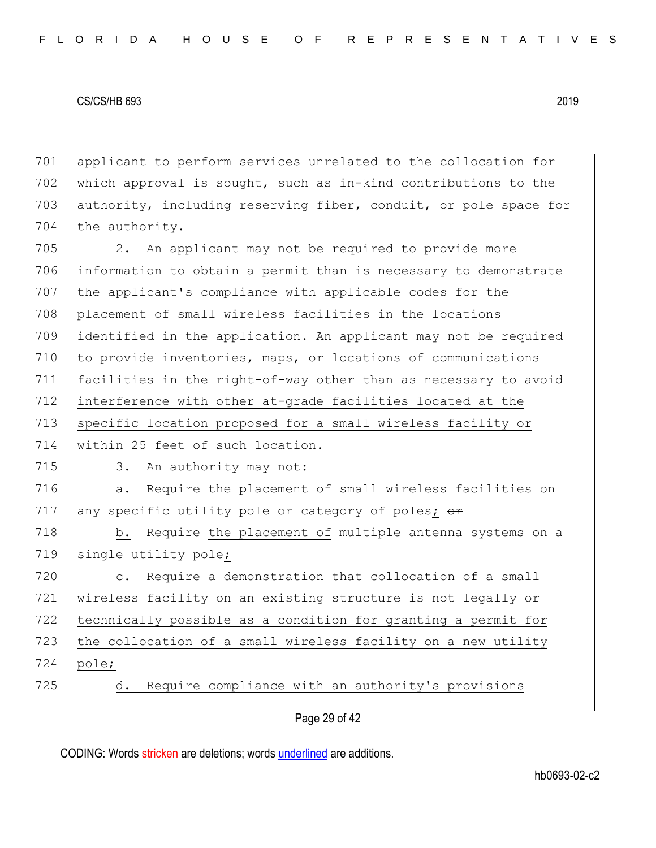701 applicant to perform services unrelated to the collocation for 702 which approval is sought, such as in-kind contributions to the 703 authority, including reserving fiber, conduit, or pole space for 704 the authority.

705 2. An applicant may not be required to provide more 706 information to obtain a permit than is necessary to demonstrate 707 the applicant's compliance with applicable codes for the 708 placement of small wireless facilities in the locations 709 identified in the application. An applicant may not be required 710 to provide inventories, maps, or locations of communications 711 facilities in the right-of-way other than as necessary to avoid 712 interference with other at-grade facilities located at the 713 specific location proposed for a small wireless facility or 714 within 25 feet of such location. 715 3. An authority may not: 716 a. Require the placement of small wireless facilities on 717 any specific utility pole or category of poles;  $\Theta$ 718 b. Require the placement of multiple antenna systems on a 719 single utility pole; 720 c. Require a demonstration that collocation of a small 721 wireless facility on an existing structure is not legally or 722 technically possible as a condition for granting a permit for 723 the collocation of a small wireless facility on a new utility 724 pole; 725 d. Require compliance with an authority's provisions

## Page 29 of 42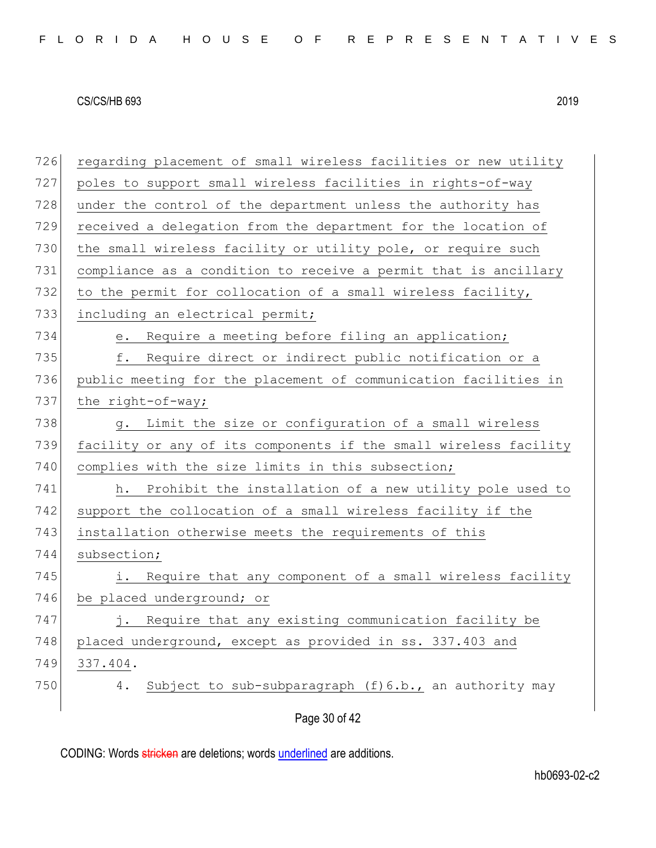| 726 | regarding placement of small wireless facilities or new utility  |
|-----|------------------------------------------------------------------|
| 727 | poles to support small wireless facilities in rights-of-way      |
| 728 | under the control of the department unless the authority has     |
| 729 | received a delegation from the department for the location of    |
| 730 | the small wireless facility or utility pole, or require such     |
| 731 | compliance as a condition to receive a permit that is ancillary  |
| 732 | to the permit for collocation of a small wireless facility,      |
| 733 | including an electrical permit;                                  |
| 734 | Require a meeting before filing an application;<br>$e$ .         |
| 735 | Require direct or indirect public notification or a<br>f.        |
| 736 | public meeting for the placement of communication facilities in  |
| 737 | the right-of-way;                                                |
| 738 | Limit the size or configuration of a small wireless<br>$g$ .     |
| 739 | facility or any of its components if the small wireless facility |
| 740 | complies with the size limits in this subsection;                |
| 741 | h. Prohibit the installation of a new utility pole used to       |
| 742 | support the collocation of a small wireless facility if the      |
| 743 | installation otherwise meets the requirements of this            |
| 744 | subsection;                                                      |
| 745 | Require that any component of a small wireless facility<br>i.    |
| 746 | be placed underground; or                                        |
| 747 | j. Require that any existing communication facility be           |
| 748 | placed underground, except as provided in ss. 337.403 and        |
| 749 | 337.404.                                                         |
| 750 | Subject to sub-subparagraph (f) 6.b., an authority may<br>4.     |
|     | Page 30 of 42                                                    |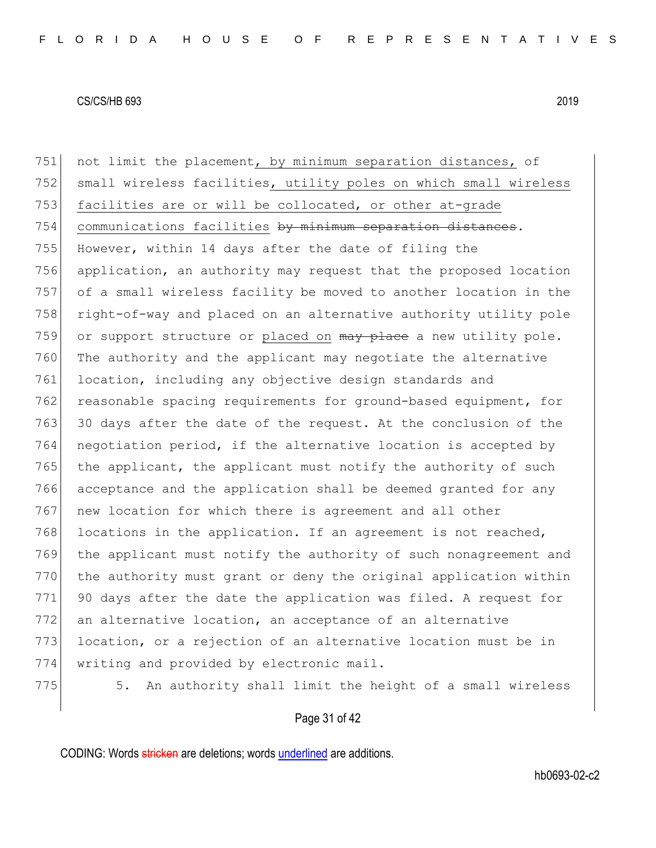751 not limit the placement, by minimum separation distances, of 752 small wireless facilities, utility poles on which small wireless 753 facilities are or will be collocated, or other at-grade 754 communications facilities by minimum separation distances. 755 However, within 14 days after the date of filing the 756 application, an authority may request that the proposed location 757 of a small wireless facility be moved to another location in the 758 right-of-way and placed on an alternative authority utility pole 759 or support structure or placed on  $\frac{m}{x}$  place a new utility pole. 760 The authority and the applicant may negotiate the alternative 761 location, including any objective design standards and 762 reasonable spacing requirements for ground-based equipment, for 763 30 days after the date of the request. At the conclusion of the 764 negotiation period, if the alternative location is accepted by 765 the applicant, the applicant must notify the authority of such 766 acceptance and the application shall be deemed granted for any 767 new location for which there is agreement and all other 768 locations in the application. If an agreement is not reached, 769 the applicant must notify the authority of such nonagreement and 770 | the authority must grant or deny the original application within 771 90 days after the date the application was filed. A request for 772 an alternative location, an acceptance of an alternative 773 location, or a rejection of an alternative location must be in 774 writing and provided by electronic mail. 775 5. An authority shall limit the height of a small wireless

## Page 31 of 42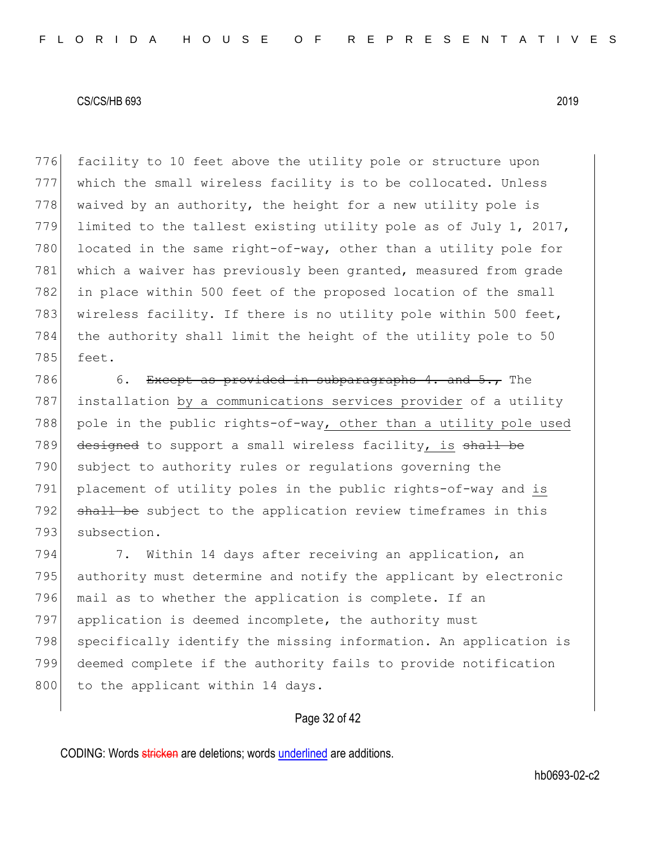776 facility to 10 feet above the utility pole or structure upon 777 which the small wireless facility is to be collocated. Unless 778 waived by an authority, the height for a new utility pole is 779 limited to the tallest existing utility pole as of July 1, 2017, 780 located in the same right-of-way, other than a utility pole for 781 which a waiver has previously been granted, measured from grade 782 in place within 500 feet of the proposed location of the small 783 wireless facility. If there is no utility pole within 500 feet, 784 the authority shall limit the height of the utility pole to 50 785 feet.

786 6. Except as provided in subparagraphs 4. and  $5.,$  The 787 installation by a communications services provider of a utility 788 pole in the public rights-of-way, other than a utility pole used 789 designed to support a small wireless facility, is shall be 790 subject to authority rules or requiations governing the 791 placement of utility poles in the public rights-of-way and is 792 shall be subject to the application review timeframes in this 793 subsection.

794 7. Within 14 days after receiving an application, an 795 authority must determine and notify the applicant by electronic 796 mail as to whether the application is complete. If an 797 application is deemed incomplete, the authority must 798 specifically identify the missing information. An application is 799 deemed complete if the authority fails to provide notification 800 to the applicant within 14 days.

## Page 32 of 42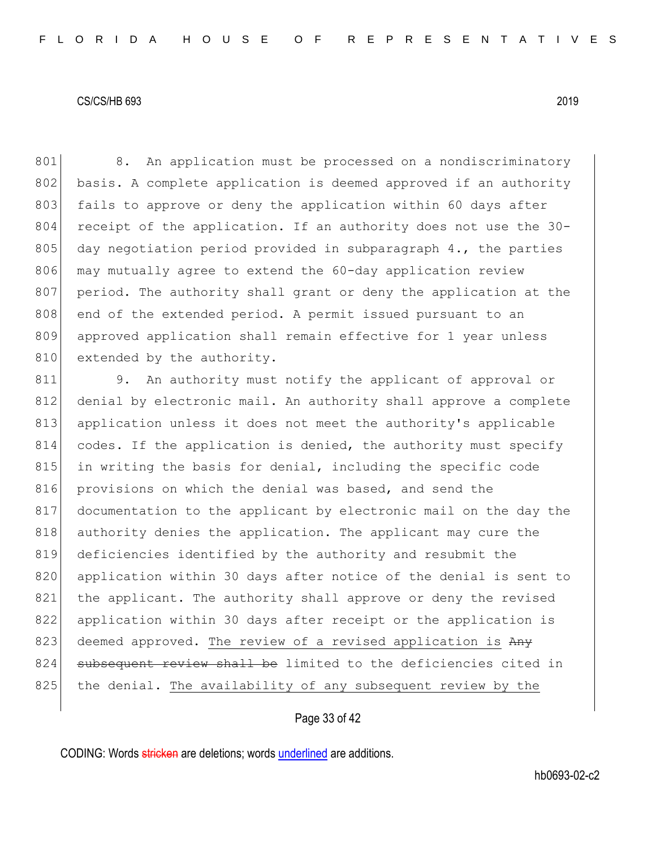801 8. An application must be processed on a nondiscriminatory 802 basis. A complete application is deemed approved if an authority 803 fails to approve or deny the application within 60 days after 804 receipt of the application. If an authority does not use the 30-805 day negotiation period provided in subparagraph  $4.$ , the parties 806 may mutually agree to extend the 60-day application review 807 period. The authority shall grant or deny the application at the 808 end of the extended period. A permit issued pursuant to an 809 approved application shall remain effective for 1 year unless 810 extended by the authority.

811 9. An authority must notify the applicant of approval or 812 denial by electronic mail. An authority shall approve a complete 813 application unless it does not meet the authority's applicable 814 codes. If the application is denied, the authority must specify 815 in writing the basis for denial, including the specific code 816 provisions on which the denial was based, and send the 817 documentation to the applicant by electronic mail on the day the 818 authority denies the application. The applicant may cure the 819 deficiencies identified by the authority and resubmit the 820 application within 30 days after notice of the denial is sent to 821 the applicant. The authority shall approve or deny the revised 822 application within 30 days after receipt or the application is 823 deemed approved. The review of a revised application is  $A_{\text{H}_y}$ 824 subsequent review shall be limited to the deficiencies cited in 825 the denial. The availability of any subsequent review by the

## Page 33 of 42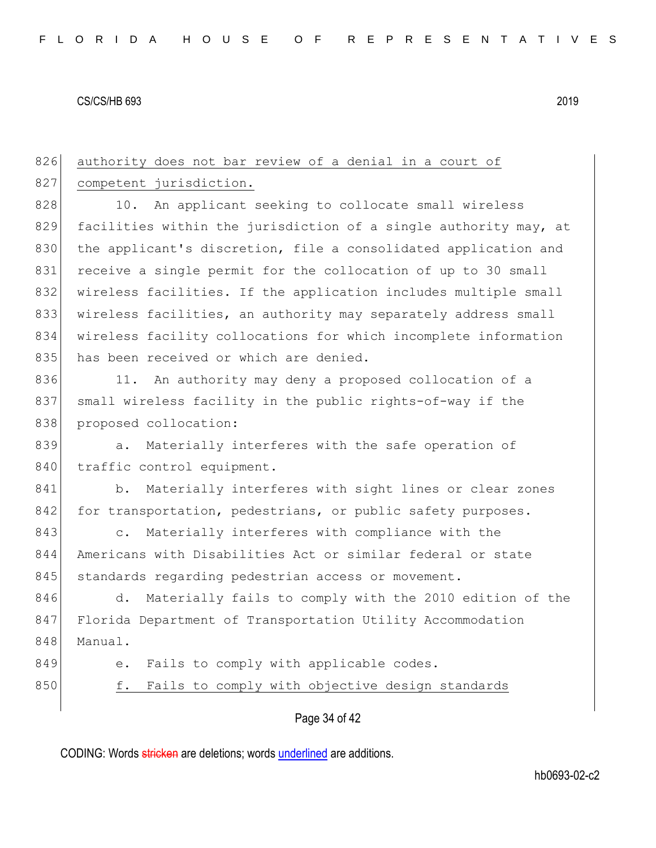Page 34 of 42 826 authority does not bar review of a denial in a court of 827 competent jurisdiction. 828 10. An applicant seeking to collocate small wireless 829 facilities within the jurisdiction of a single authority may, at 830 the applicant's discretion, file a consolidated application and 831 receive a single permit for the collocation of up to 30 small 832 wireless facilities. If the application includes multiple small 833 wireless facilities, an authority may separately address small 834 wireless facility collocations for which incomplete information 835 has been received or which are denied. 836 11. An authority may deny a proposed collocation of a 837 small wireless facility in the public rights-of-way if the 838 proposed collocation: 839 a. Materially interferes with the safe operation of 840 traffic control equipment. 841 b. Materially interferes with sight lines or clear zones 842 for transportation, pedestrians, or public safety purposes. 843 c. Materially interferes with compliance with the 844 Americans with Disabilities Act or similar federal or state 845 standards regarding pedestrian access or movement. 846 d. Materially fails to comply with the 2010 edition of the 847 Florida Department of Transportation Utility Accommodation 848 Manual. 849 e. Fails to comply with applicable codes. 850 f. Fails to comply with objective design standards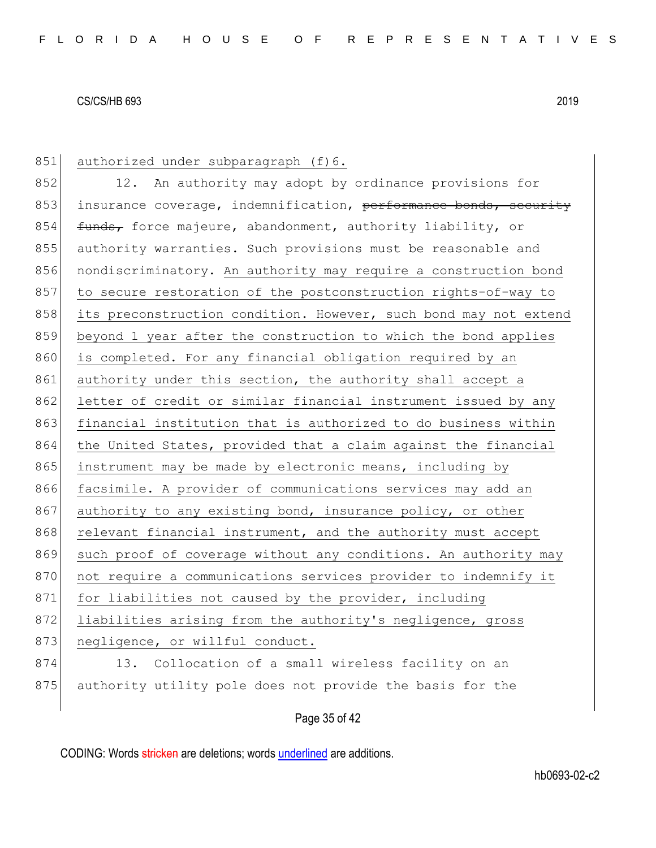851 authorized under subparagraph (f) 6. 852 12. An authority may adopt by ordinance provisions for 853 insurance coverage, indemnification, performance bonds, security 854 funds, force majeure, abandonment, authority liability, or 855 authority warranties. Such provisions must be reasonable and 856 nondiscriminatory. An authority may require a construction bond 857 to secure restoration of the postconstruction rights-of-way to 858 its preconstruction condition. However, such bond may not extend 859 beyond 1 year after the construction to which the bond applies 860 is completed. For any financial obligation required by an 861 authority under this section, the authority shall accept a 862 letter of credit or similar financial instrument issued by any 863 financial institution that is authorized to do business within 864 the United States, provided that a claim against the financial 865 instrument may be made by electronic means, including by 866 facsimile. A provider of communications services may add an 867 authority to any existing bond, insurance policy, or other 868 relevant financial instrument, and the authority must accept 869 such proof of coverage without any conditions. An authority may 870 not require a communications services provider to indemnify it 871 for liabilities not caused by the provider, including 872 liabilities arising from the authority's negligence, gross 873 negligence, or willful conduct. 874 13. Collocation of a small wireless facility on an 875 authority utility pole does not provide the basis for the

Page 35 of 42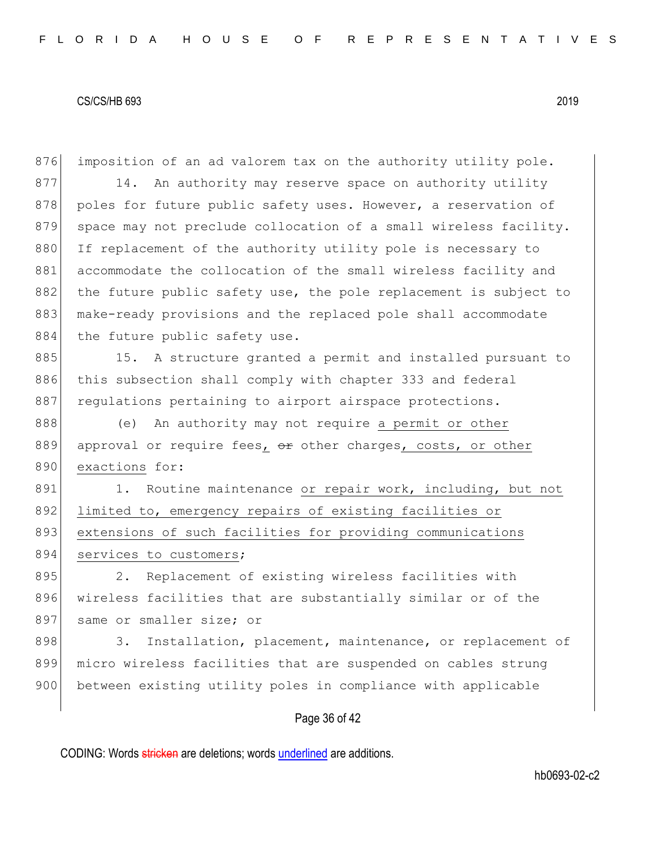Page 36 of 42 876 imposition of an ad valorem tax on the authority utility pole. 877 14. An authority may reserve space on authority utility 878 poles for future public safety uses. However, a reservation of 879 space may not preclude collocation of a small wireless facility. 880 If replacement of the authority utility pole is necessary to 881 accommodate the collocation of the small wireless facility and 882 the future public safety use, the pole replacement is subject to 883 make-ready provisions and the replaced pole shall accommodate 884 the future public safety use. 885 15. A structure granted a permit and installed pursuant to 886 this subsection shall comply with chapter 333 and federal 887 regulations pertaining to airport airspace protections. 888 (e) An authority may not require a permit or other 889 approval or require fees, or other charges, costs, or other 890 exactions for: 891 1. Routine maintenance or repair work, including, but not 892 limited to, emergency repairs of existing facilities or 893 extensions of such facilities for providing communications 894 services to customers; 895 2. Replacement of existing wireless facilities with 896 wireless facilities that are substantially similar or of the 897 same or smaller size; or 898 3. Installation, placement, maintenance, or replacement of 899 micro wireless facilities that are suspended on cables strung 900 between existing utility poles in compliance with applicable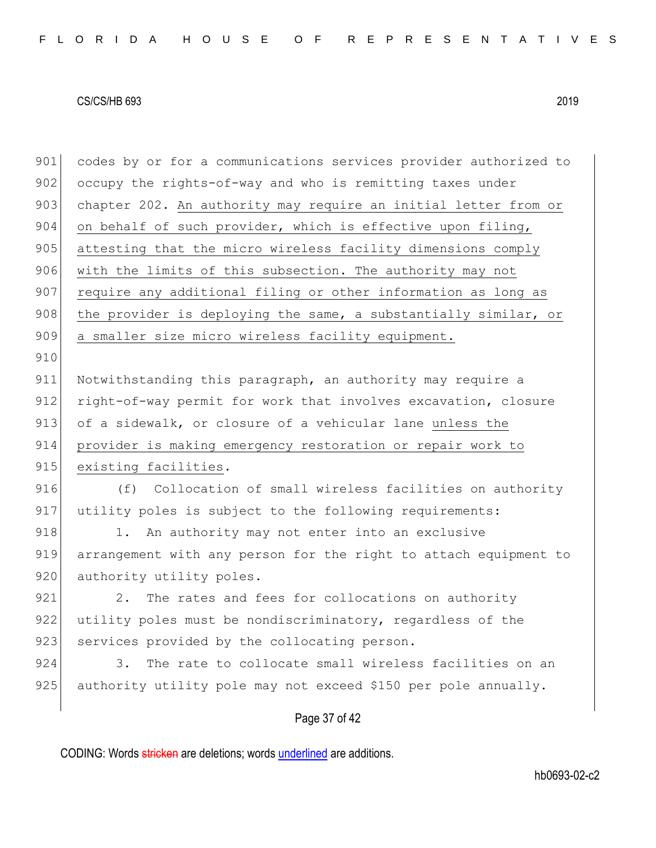910

901 codes by or for a communications services provider authorized to 902 occupy the rights-of-way and who is remitting taxes under 903 chapter 202. An authority may require an initial letter from or 904 on behalf of such provider, which is effective upon filing, 905 attesting that the micro wireless facility dimensions comply 906 with the limits of this subsection. The authority may not 907 require any additional filing or other information as long as 908 the provider is deploying the same, a substantially similar, or 909 a smaller size micro wireless facility equipment.

911 Notwithstanding this paragraph, an authority may require a 912 right-of-way permit for work that involves excavation, closure 913 of a sidewalk, or closure of a vehicular lane unless the 914 provider is making emergency restoration or repair work to 915 existing facilities.

916 (f) Collocation of small wireless facilities on authority 917 utility poles is subject to the following requirements:

918 1. An authority may not enter into an exclusive 919 arrangement with any person for the right to attach equipment to 920 authority utility poles.

921 2. The rates and fees for collocations on authority 922 utility poles must be nondiscriminatory, regardless of the 923 services provided by the collocating person.

924 3. The rate to collocate small wireless facilities on an 925 authority utility pole may not exceed \$150 per pole annually.

## Page 37 of 42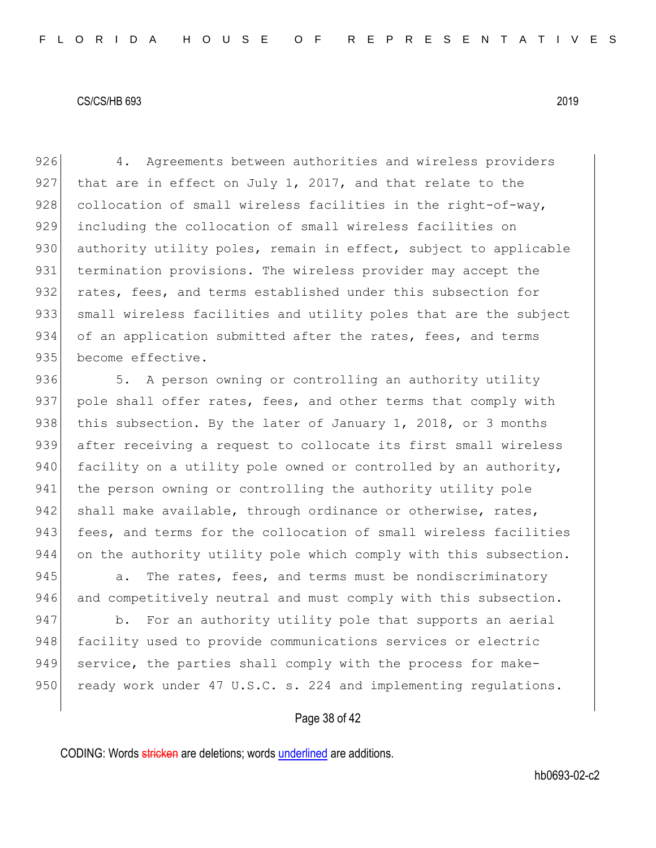926 4. Agreements between authorities and wireless providers 927 that are in effect on July 1, 2017, and that relate to the 928 collocation of small wireless facilities in the right-of-way, 929 including the collocation of small wireless facilities on 930 authority utility poles, remain in effect, subject to applicable 931 termination provisions. The wireless provider may accept the 932 rates, fees, and terms established under this subsection for 933 small wireless facilities and utility poles that are the subject 934 of an application submitted after the rates, fees, and terms 935 become effective.

936 5. A person owning or controlling an authority utility 937 pole shall offer rates, fees, and other terms that comply with 938 this subsection. By the later of January 1, 2018, or 3 months 939 after receiving a request to collocate its first small wireless 940 facility on a utility pole owned or controlled by an authority, 941 the person owning or controlling the authority utility pole 942 shall make available, through ordinance or otherwise, rates, 943 fees, and terms for the collocation of small wireless facilities 944 on the authority utility pole which comply with this subsection.

945 **a.** The rates, fees, and terms must be nondiscriminatory 946 and competitively neutral and must comply with this subsection.

947 b. For an authority utility pole that supports an aerial 948 facility used to provide communications services or electric 949 service, the parties shall comply with the process for make-950 ready work under 47 U.S.C. s. 224 and implementing regulations.

Page 38 of 42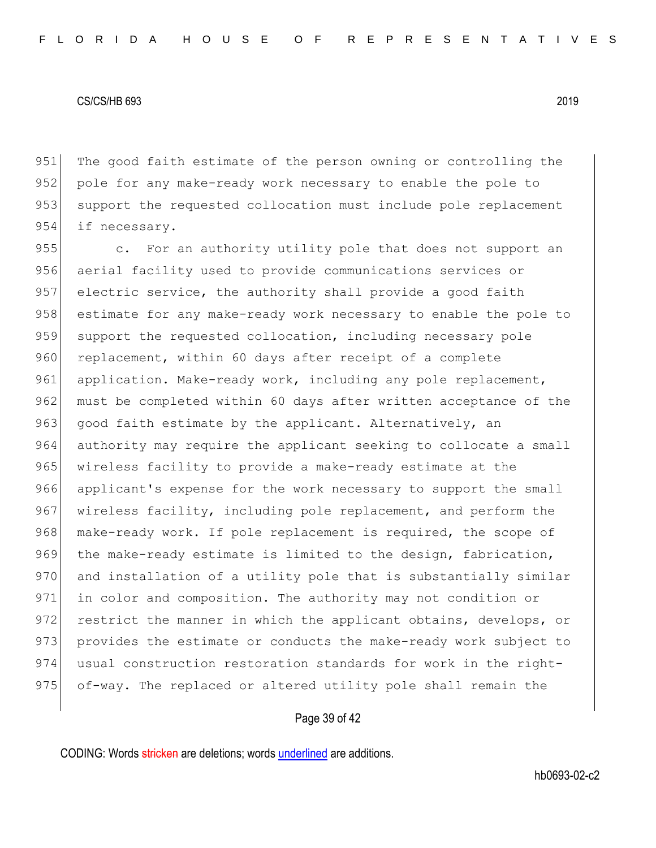951 The good faith estimate of the person owning or controlling the 952 pole for any make-ready work necessary to enable the pole to 953 support the requested collocation must include pole replacement 954 if necessary.

955 c. For an authority utility pole that does not support an 956 aerial facility used to provide communications services or 957 electric service, the authority shall provide a good faith 958 estimate for any make-ready work necessary to enable the pole to 959 support the requested collocation, including necessary pole 960 replacement, within 60 days after receipt of a complete 961 application. Make-ready work, including any pole replacement, 962 must be completed within 60 days after written acceptance of the 963 good faith estimate by the applicant. Alternatively, an 964 authority may require the applicant seeking to collocate a small 965 wireless facility to provide a make-ready estimate at the 966 applicant's expense for the work necessary to support the small 967 wireless facility, including pole replacement, and perform the 968 make-ready work. If pole replacement is required, the scope of 969 the make-ready estimate is limited to the design, fabrication, 970 and installation of a utility pole that is substantially similar 971 in color and composition. The authority may not condition or 972 restrict the manner in which the applicant obtains, develops, or 973 provides the estimate or conducts the make-ready work subject to 974 usual construction restoration standards for work in the right-975 of-way. The replaced or altered utility pole shall remain the

## Page 39 of 42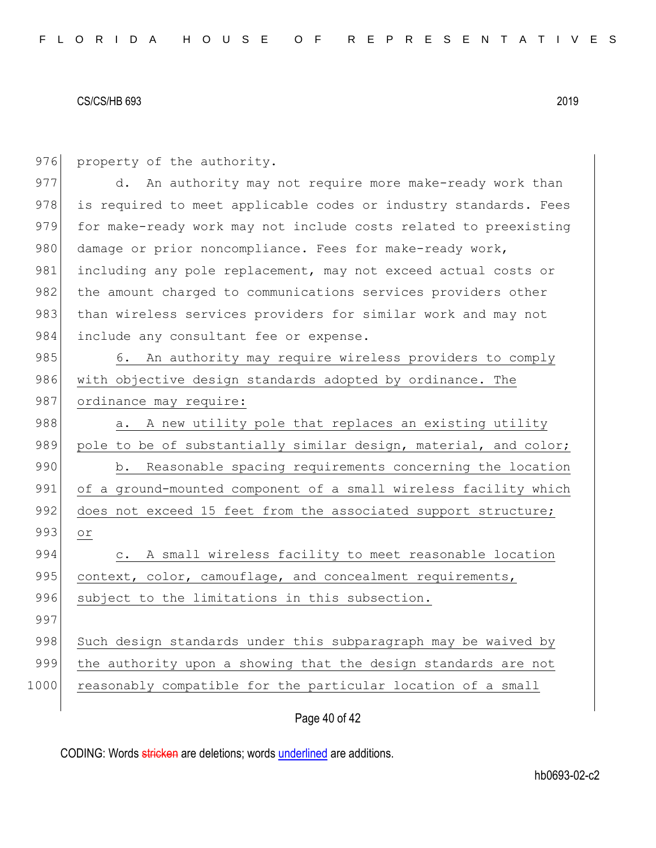976 property of the authority.

977 d. An authority may not require more make-ready work than 978 is required to meet applicable codes or industry standards. Fees 979 for make-ready work may not include costs related to preexisting 980 damage or prior noncompliance. Fees for make-ready work, 981 including any pole replacement, may not exceed actual costs or 982 the amount charged to communications services providers other 983 than wireless services providers for similar work and may not 984 include any consultant fee or expense.

985 6. An authority may require wireless providers to comply 986 with objective design standards adopted by ordinance. The 987 ordinance may require:

988 a. A new utility pole that replaces an existing utility 989 pole to be of substantially similar design, material, and color; 990 b. Reasonable spacing requirements concerning the location 991 of a ground-mounted component of a small wireless facility which 992 does not exceed 15 feet from the associated support structure; 993 or 994 c. A small wireless facility to meet reasonable location

995 context, color, camouflage, and concealment requirements,

998 Such design standards under this subparagraph may be waived by

999 the authority upon a showing that the design standards are not

1000 reasonably compatible for the particular location of a small

997

Page 40 of 42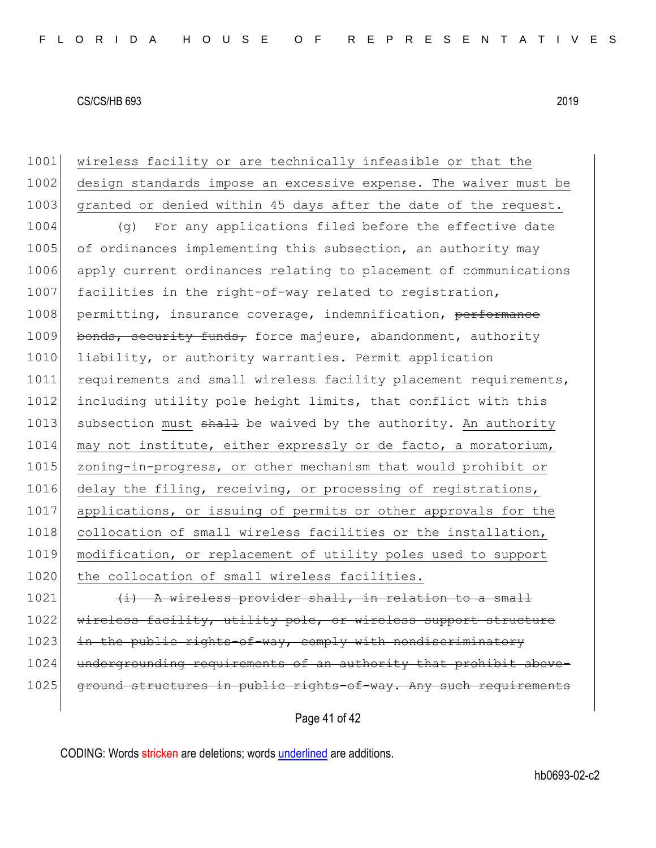| 1001 | wireless facility or are technically infeasible or that the      |
|------|------------------------------------------------------------------|
| 1002 | design standards impose an excessive expense. The waiver must be |
| 1003 | granted or denied within 45 days after the date of the request.  |
| 1004 | For any applications filed before the effective date<br>(q)      |
| 1005 | of ordinances implementing this subsection, an authority may     |
| 1006 | apply current ordinances relating to placement of communications |
| 1007 | facilities in the right-of-way related to registration,          |
| 1008 | permitting, insurance coverage, indemnification, performance     |
| 1009 | bonds, security funds, force majeure, abandonment, authority     |
| 1010 | liability, or authority warranties. Permit application           |
| 1011 | requirements and small wireless facility placement requirements, |
| 1012 | including utility pole height limits, that conflict with this    |
| 1013 | subsection must shall be waived by the authority. An authority   |
| 1014 | may not institute, either expressly or de facto, a moratorium,   |
| 1015 | zoning-in-progress, or other mechanism that would prohibit or    |
| 1016 | delay the filing, receiving, or processing of registrations,     |
| 1017 | applications, or issuing of permits or other approvals for the   |
| 1018 | collocation of small wireless facilities or the installation,    |
| 1019 | modification, or replacement of utility poles used to support    |
| 1020 | the collocation of small wireless facilities.                    |
| 1021 | (i) A wireless provider shall, in relation to a small            |
| 1022 | wireless facility, utility pole, or wireless support structure   |
| 1023 | in the public rights-of-way, comply with nondiscriminatory       |
| 1024 | undergrounding requirements of an authority that prohibit above- |
| 1025 | ground structures in public rights-of-way. Any such requirements |
|      |                                                                  |

Page 41 of 42